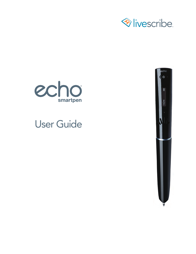





# User Guide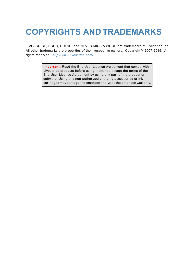# **COPYRIGHTS AND TRADEMARKS**

LIVESCRIBE, ECHO, PULSE, and NEVER MISS A WORD are trademarks of Livescribe Inc. All other trademarks are properties of their respective owners. Copyright <sup>©</sup> 2007-2015. All rights reserved. *http://www.livescribe.com/*

> **Important:** Read the End User License Agreement that comes with Livescribe products before using them. You accept the terms of the End User License Agreement by using any part of the product or software. Using any non-authorized charging accessories or ink cartridges may damage the smartpen and voids the smartpen warranty.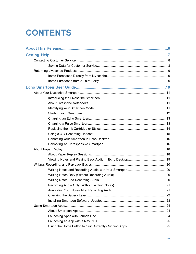# **CONTENTS**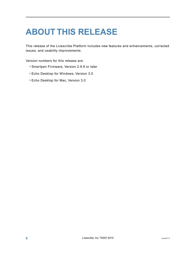# <span id="page-5-0"></span>**ABOUT THIS RELEASE**

This release of the Livescribe Platform includes new features and enhancements, corrected issues, and usability improvements.

Version numbers for this release are:

- **•** Smartpen Firmware, Version 2.9.9 or later
- **•** Echo Desktop for Windows, Version 3.0
- **•** Echo Desktop for Mac, Version 3.0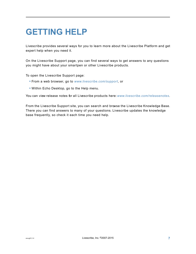# <span id="page-6-0"></span>**GETTING HELP**

Livescribe provides several ways for you to learn more about the Livescribe Platform and get expert help when you need it.

On the Livescribe Support page, you can find several ways to get answers to any questions you might have about your smartpen or other Livescribe products.

To open the Livescribe Support page:

- **•** From a web browser, go to *[www.livescribe.com/support](http://www.livescribe.com/support)*, or
- **•** Within Echo Desktop, go to the Help menu.

You can view release notes for all Livescribe products here:*[www.livescribe.com/releasenotes](http://www.livescribe.com/releasenotes)*.

From the Livescribe Support site, you can search and browse the Livescribe Knowledge Base. There you can find answers to many of your questions. Livescribe updates the knowledge base frequently, so check it each time you need help.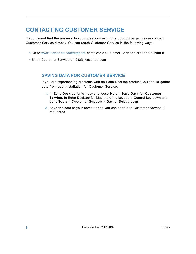# <span id="page-7-0"></span>**CONTACTING CUSTOMER SERVICE**

If you cannot find the answers to your questions using the Support page, please contact Customer Service directly. You can reach Customer Service in the following ways:

- **•** Go to *[www.livescribe.com/support](http://www.livescribe.com/support)*, complete a Customer Service ticket and submit it.
- **•** Email Customer Service at: CS@livescribe.com

# <span id="page-7-1"></span>**SAVING DATA FOR CUSTOMER SERVICE**

If you are experiencing problems with an Echo Desktop product, you should gather data from your installation for Customer Service.

- 1. In Echo Desktop for Windows, choose **Help** > **Save Data for Customer Service**. In Echo Desktop for Mac, hold the keyboard Control key down and go to **Tools** > **Customer Support > Gather Debug Logs**
- 2. Save the data to your computer so you can send it to Customer Service if requested.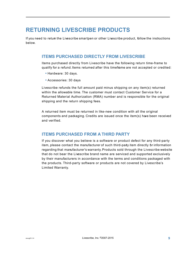# <span id="page-8-0"></span>**RETURNING LIVESCRIBE PRODUCTS**

If you need to return the Livescribe smartpen or other Livescribe product, follow the instructions below.

## <span id="page-8-1"></span>**ITEMS PURCHASED DIRECTLY FROM LIVESCRIBE**

Items purchased directly from Livescribe have the following return time-frame to qualify for a refund. Items returned after this timeframe are not accepted or credited:

- **•** Hardware: 30 days.
- **•** Accessories: 30 days

Livescribe refunds the full amount paid minus shipping on any item(s) returned within the allowable time. The customer must contact Customer Service for a Returned Material Authorization (RMA) number and is responsible for the original shipping and the return shipping fees.

<span id="page-8-2"></span>A returned item must be returned in like-new condition with all the original components and packaging. Credits are issued once the item(s) have been received and verified.

# **ITEMS PURCHASED FROM A THIRD PARTY**

If you discover what you believe is a software or product defect for any third-party item, please contact the manufacturer of such third-party item directly for information regarding that manufacturer's warranty. Products sold through the Livescribe website that do not bear the Livescribe brand name are serviced and supported exclusively by their manufacturers in accordance with the terms and conditions packaged with the products. Third-party software or products are not covered by Livescribe's Limited Warranty.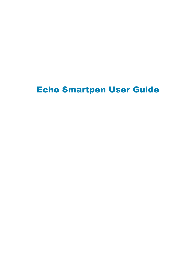# <span id="page-9-0"></span>Echo Smartpen User Guide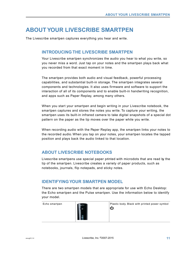# <span id="page-10-0"></span>**ABOUT YOUR LIVESCRIBE SMARTPEN**

The Livescribe smartpen captures everything you hear and write.

### <span id="page-10-1"></span>**INTRODUCING THE LIVESCRIBE SMARTPEN**

Your Livescribe smartpen synchronizes the audio you hear to what you write, so you never miss a word. Just tap on your notes and the smartpen plays back what you recorded from that exact moment in time.

The smartpen provides both audio and visual feedback, powerful processing capabilities, and substantial built-in storage. The smartpen integrates several components and technologies. It also uses firmware and software to support the interaction of all of its components and to enable built-in handwriting recognition, and apps such as Paper Replay, among many others.

When you start your smartpen and begin writing in your Livescribe notebook, the smartpen captures and stores the notes you write. To capture your writing, the smartpen uses its built-in infrared camera to take digital snapshots of a special dot pattern on the paper as the tip moves over the paper while you write.

<span id="page-10-2"></span>When recording audio with the Paper Replay app, the smartpen links your notes to the recorded audio. When you tap on your notes, your smartpen locates the tapped position and plays back the audio linked to that location.

# **ABOUT LIVESCRIBE NOTEBOOKS**

<span id="page-10-3"></span>Livescribe smartpens use special paper printed with microdots that are read by the tip of the smartpen. Livescribe creates a variety of paper products, such as notebooks, journals, flip notepads, and sticky notes.

# **IDENTIFYING YOUR SMARTPEN MODEL**

There are two smartpen models that are appropriate for use with Echo Desktop: the Echo smartpen and the Pulse smartpen. Use the information below to identify your model.

| Echo smartpen | echo<br>di. | Plastic body. Black with printed power symbol<br>را، |
|---------------|-------------|------------------------------------------------------|
|               |             |                                                      |
|               |             |                                                      |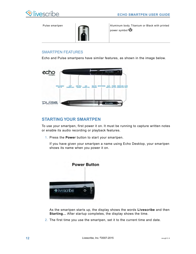

Pulse smartpen



Aluminum body. Titanium or Black with printed power symbol  $\mathbf U$ .

### SMARTPEN FEATURES

Echo and Pulse smartpens have similar features, as shown in the image below.



# <span id="page-11-0"></span>**STARTING YOUR SMARTPEN**

To use your smartpen, first power it on. It must be running to capture written notes or enable its audio recording or playback features.

1. Press the **Power** button to start your smartpen.

If you have given your smartpen a name using Echo Desktop, your smartpen shows its name when you power it on.



As the smartpen starts up, the display shows the words **Livescribe** and then **Starting...** After startup completes, the display shows the time.

2. The first time you use the smartpen, set it to the current time and date.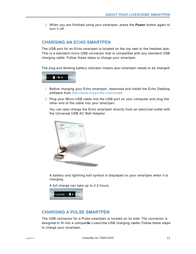3. When you are finished using your smartpen, press the **Power** button again to turn it off.

### <span id="page-12-0"></span>**CHARGING AN ECHO SMARTPEN**

The USB port for an Echo smartpen is located on the top next to the headset jack. This is a standard micro USB connector that is compatible with any standard USB charging cable. Follow these steps to charge your smartpen.

The plug and blinking battery indicator means your smartpen needs to be charged.



- 1. Before charging your Echo smartpen, download and install the Echo Desktop software from *[http://www.livescribe.com/install](#page-93-0)*.
- 2. Plug your Micro-USB cable into the USB port on your computer and plug the other end of the cable into your smartpen.

You can also charge the Echo smartpen directly from an electrical outlet with the Universal USB AC Wall Adapter.



A battery and lightning bolt symbol is displayed on your smartpen when it is charging.

A full charge can take up to 2.5 hours.

<span id="page-12-1"></span>

## **CHARGING A PULSE SMARTPEN**

The USB connector for a Pulse smartpen is located on its side. The connector is designed to fit into a compatible Livescribe USB charging cradle. Follow these steps to charge your smartpen.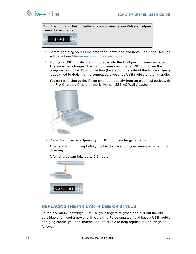**Tip:** The plug and binking battery indicator means your Pulse smartpen needs to be charged.



- 1. Before charging your Pulse smartpen, download and install the Echo Desktop software from *[http://www.livescribe.com/install](#page-93-0)*.
- 2. Plug your USB mobile charging cradle into the USB port on your computer. The smartpen charges directly from your computer's USB port when the computer is on. The USB connection (located on the side of the Pulse smapen) is designed to dock into the compatible Livescribe USB mobile charging cadle.

You can also charge the Pulse smartpen directly from an electrical outlet with the Pro Charging Cradle or the Universal USB AC Wall Adapter.



3. Place the Pulse smartpen in your USB mobile charging cradle.

A battery and lightning bolt symbol is displayed on your smartpen when it is charging.

12:00 AM

A full charge can take up to 2.5 hours.

# <span id="page-13-0"></span>**REPLACING THE INK CARTRIDGE OR STYLUS**

To replace an ink cartridge, just use your fingers to grasp and pull out the old cartridge and insert a new one. If you own a Pulse smartpen and have a USB mobile charging cradle, you can instead use the cradle to help replace the cartridge as follows.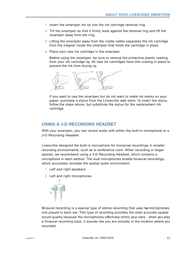- 1. Insert the smartpen ink tip into the ink cartridge removal ring.
- 2. Tilt the smartpen so that it firmly rests against the removal ring and lift the smartpen away from the ring.
- 3. Lifting the smartpen away from the cradle safely separates the ink cartridge from the magnet inside the smartpen that holds the cartridge in place.
- 4. Place your new ink cartridge in the smartpen.

Before using the smartpen, be sure to remove the protective plastic coating from your ink cartridge tip. All new ink cartridges have this coating in place to prevent the ink from drying up.



If you want to use the smartpen but do not want to make ink marks on your paper, purchase a stylus from the Livescribe web store. To insert the stylus, follow the steps above, but substitute the stylus for the replacement ink cartridge.

## <span id="page-14-0"></span>**USING A 3-D RECORDING HEADSET**

With your smartpen, you can record audio with either the built-in microphone or a 3-D Recording Headset.

Livescribe designed the built-in microphone for monaural recordings in smaller recording environments, such as a conference room. When recording in larger spaces, we recommend using a 3-D Recording Headset, which contains a microphone in each earbud. The dual microphones enable binaural recordings, which accurately recreate the spatial audio environment.

- 1. Left and right speakers
- 2. Left and right microphones



Binaural recording is a special type of stereo recording that uses two microphones, one placed in each ear. This type of recording provides the most accurate spatial sound quality because the microphones effectively mimic your ears - when you play a binaural recording back, it sounds like you are actually in the location where you recorded.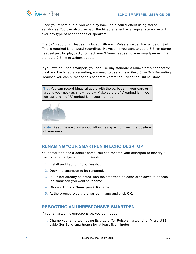Once you record audio, you can play back the binaural effect using stereo earphones. You can also play back the binaural effect as a regular stereo recording over any type of headphones or speakers.

The 3-D Recording Headset included with each Pulse smatpen has a custom jack. This is required for binaural recordings. However, if you want to use a 3.5mm stereo headset just for playback, connect your 3.5mm headset to your smartpen using a standard 2.5mm to 3.5mm adaptor.

If you own an Echo smartpen, you can use any standard 3.5mm stereo headset for playback. For binaural recording, you need to use a Livescribe 3.5mm 3-D Recording Headset. You can purchase this separately from the Livescribe Online Store.

**Tip:** You can record binaural audio with the earbuds in your ears or around your neck as shown below. Make sure the "L" earbud is in your left ear and the "R" earbud is in your right ear.



<span id="page-15-0"></span>**Note:** Keep the earbuds about 6-8 inches apart to mimic the position of your ears.

## **RENAMING YOUR SMARTPEN IN ECHO DESKTOP**

Your smartpen has a default name. You can rename your smartpen to identify it from other smartpens in Echo Desktop.

- 1. Install and Launch Echo Desktop.
- 2. Dock the smartpen to be renamed.
- 3. If it is not already selected, use the smartpen selector drop down to choose the smartpen you want to rename.
- <span id="page-15-1"></span>4. Choose **Tools** > **Smartpen** > **Rename**.
- 5. At the prompt, type the smartpen name and click **OK**.

## **REBOOTING AN UNRESPONSIVE SMARTPEN**

If your smartpen is unresponsive, you can reboot it.

1. Charge your smartpen using its cradle (for Pulse smartpens) or Micro-USB cable (for Echo smartpens) for at least five minutes.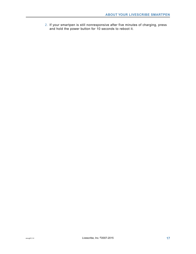2. If your smartpen is still nonresponsive after five minutes of charging, press and hold the power button for 10 seconds to reboot it.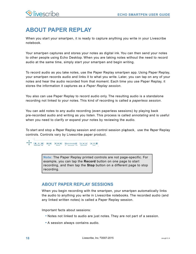# <span id="page-17-0"></span>**ABOUT PAPER REPLAY**

When you start your smartpen, it is ready to capture anything you write in your Livescribe notebook.

Your smartpen captures and stores your notes as digital ink. You can then send your notes to other people using Echo Desktop. When you are taking notes without the need to record audio at the same time, simply start your smartpen and begin writing.

To record audio as you take notes, use the Paper Replay smartpen app. Using Paper Replay, your smartpen records audio and links it to what you write. Later, you can tap on any of your notes and hear the audio recorded from that moment. Each time you use Paper Replay, it stores the information it captures as a *Paper Replay session*.

You also can use Paper Replay to record audio only. The resulting audio is a standalone recording not linked to your notes. This kind of recording is called a *paperless session*.

You can add notes to any audio recording (even paperless sessions) by playing back pre-recorded audio and writing as you listen. This process is called *annotating* and is useful when you need to clarify or expand your notes by reviewing the audio.

To start and stop a Paper Replay session and control session playback, use the Paper Replay controls. Controls vary by Livescribe paper product.



<span id="page-17-1"></span>**Note:** The Paper Replay printed controls are not page-specific. For example, you can tap the **Record** button on one page to start recording, and then tap the **Stop** button on a different page to stop recording.

# **ABOUT PAPER REPLAY SESSIONS**

When you begin recording with the smartpen, your smartpen automatically links the audio to anything you write in Livescribe notebooks. The recorded audio (and any linked written notes) is called a Paper Replay session.

Important facts about sessions:

- **•** Notes not linked to audio are just notes. They are not part of a session.
- **•** A session always contains audio.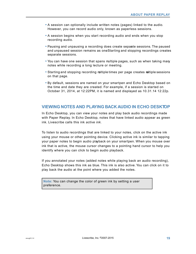- **•** A session can optionally include written notes (pages) linked to the audio. However, you can record audio only, known as paperless sessions.
- **•** A session begins when you start recording audio and ends when you stop recording audio.
- Pausing and unpausing a recording does create sepaate sessions. The paused and unpaused session remains as one Starting and stopping recordings creates separate sessions.
- You can have one session that spans multiple pages, such as when taking many notes while recording a long lecture or meeting.
- **•** Starting and stopping recording multiple times per page creates multiple sessions on that page.
- **•** By default, sessions are named on your smartpen and Echo Desktop based on the time and date they are created. For example, if a session is started on October 31, 2014, at 12:22PM, it is named and displayed as 10.31.14 12:22p.

### <span id="page-18-0"></span>**VIEWING NOTES AND PLAYING BACK AUDIO IN ECHO DESKTOP**

In Echo Desktop, you can view your notes and play back audio recordings made with Paper Replay. In Echo Desktop, notes that have linked audio appear as green ink. Livescribe calls this ink *active ink*.

To listen to audio recordings that are linked to your notes, click on the active ink using your mouse or other pointing device. Clicking active ink is similar to tapping your paper notes to begin audio playback on your smartpen. When you mouse over ink that is active, the mouse cursor changes to a pointing hand cursor to help you identify where you can click to begin audio playback.

If you annotated your notes (added notes while playing back an audio recording), Echo Desktop shows this ink as blue. This ink is also active. You can click on it to play back the audio at the point where you added the notes.

**Note:** You can change the color of green ink by setting a user preference.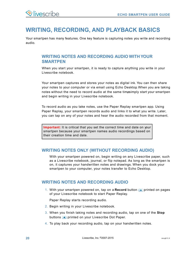# <span id="page-19-0"></span>**WRITING, RECORDING, AND PLAYBACK BASICS**

Your smartpen has many features. One key feature is capturing notes you write and recording audio.

# <span id="page-19-1"></span>**WRITING NOTES AND RECORDING AUDIO WITH YOUR SMARTPEN**

When you start your smartpen, it is ready to capture anything you write in your Livescribe notebook.

Your smartpen captures and stores your notes as digital ink. You can then share your notes to your computer or via email using Echo Desktop. When you are taking notes without the need to record audio at the same timesimply start your smartpen and begin writing in your Livescribe notebook.

To record audio as you take notes, use the Paper Replay smartpen app. Using Paper Replay, your smartpen records audio and links it to what you write. Later, you can tap on any of your notes and hear the audio recorded from that moment.

<span id="page-19-2"></span>**Important:** It is critical that you set the correct time and date on your smartpen because your smartpen names audio recordings based on their creation time and date.

## **WRITING NOTES ONLY (WITHOUT RECORDING AUDIO)**

<span id="page-19-3"></span>With your smartpen powered on, begin writing on any Livescribe paper, such as a Livescribe notebook, journal, or flip notepad. As long as the smartpen is on, it captures your handwritten notes and drawings. When you dock your smartpen to your computer, your notes transfer to Echo Desktop.

#### **WRITING NOTES AND RECORDING AUDIO**

1. With your smartpen powered on, tap on a **Record** button **o** printed on pages of your Livescribe notebook to start Paper Replay.

Paper Replay starts recording audio.

- 2. Begin writing in your Livescribe notebook.
- 3. When you finish taking notes and recording audio, tap on one of the **Stop** buttons **printed on your Livescribe Dot Paper.**
- 4. To play back your recording audio, tap on your handwritten notes.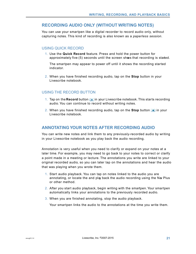#### <span id="page-20-0"></span>**RECORDING AUDIO ONLY (WITHOUT WRITING NOTES)**

You can use your smartpen like a digital recorder to record audio only, without capturing notes. This kind of recording is also known as a *paperless session*.

#### USING QUICK RECORD

1. Use the **Quick Record** feature. Press and hold the power button for approximately five (5) seconds until the screen shows that recording is stated.

The smartpen may appear to power off until it shows the recording started indicator.

2. When you have finished recording audio, tap on the **Stop** button in your Livescribe notebook.

#### USING THE RECORD BUTTON

- 1. Tap on the **Record** button **i**n your Livescribe notebook. This starts recording audio. You can continue to record without writing notes.
- <span id="page-20-1"></span>2. When you have finished recording audio, tap on the **Stop** button in your Livescribe notebook.

#### **ANNOTATING YOUR NOTES AFTER RECORDING AUDIO**

You can write new notes and link them to any previously-recorded audio by writing in your Livescribe notebook as you play back the audio recording.

Annotation is very useful when you need to clarify or expand on your notes at a later time. For example, you may need to go back to your notes to correct or clarify a point made in a meeting or lecture. The annotations you write are linked to your original recorded audio, so you can later tap on the annotations and hear the audio that was playing when you wrote them.

- 1. Start audio playback. You can tap on notes linked to the audio you are annotating, or locate the and play back the audio recording using the Nav Plus or other method.
- 2. After you start audio playback, begin writing with the smartpen. Your smartpen automatically links your annotations to the previously recorded audio.
- 3. When you are finished annotating, stop the audio playback.

Your smartpen links the audio to the annotations at the time you write them.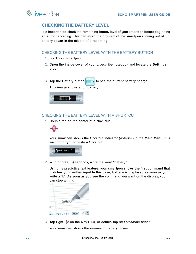# <span id="page-21-0"></span>**CHECKING THE BATTERY LEVEL**

It is important to check the remaining battery level of your smartpen before beginning an audio recording. This can avoid the problem of the smartpen running out of battery power in the middle of a recording.

#### CHECKING THE BATTERY LEVEL WITH THE BATTERY BUTTON

- 1. Start your smartpen.
- 2. Open the inside cover of your Livescribe notebook and locate the **Settings** area.
- 3. Tap the Battery button  $\left| \begin{array}{cc} \hline \end{array} \right|$  to see the current battery charge.

This image shows a full battery.



### CHECKING THE BATTERY LEVEL WITH A SHORTCUT

1. Double-tap on the center of a Nav Plus.



Your smartpen shows the Shortcut indicator (asterisk) in the **Main Menu**. It is waiting for you to write a Shortcut.



2. Within three (3) seconds, write the word "battery."

Using its predictive text feature, your smartpen shows the first command that matches your written input In this case, **battery** is displayed as soon as you write a "b". As soon as you see the command you want on the display, you can stop writing.



3. Tap right  $\frac{1}{2}$  on the Nav Plus, or double-tap *on Livescribe paper*.

Your smartpen shows the remaining battery power.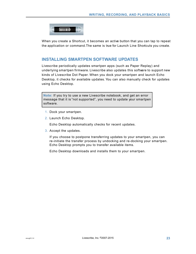

When you create a Shortcut, it becomes an active button that you can tap to repeat the application or command.The same is true for Launch Line Shortcuts you create.

## <span id="page-22-0"></span>**INSTALLING SMARTPEN SOFTWARE UPDATES**

Livescribe periodically updates smartpen apps (such as Paper Replay) and underlying smartpen firmware. Livescribe also updates this software to support new kinds of Livescribe Dot Paper. When you dock your smartpen and launch Echo Desktop, it checks for available updates. You can also manually check for updates using Echo Desktop.

**Note:** If you try to use a new Livescribe notebook, and get an error message that it is "not supported", you need to update your smartpen software.

- 1. Dock your smartpen.
- 2. Launch Echo Desktop.

Echo Desktop automatically checks for recent updates.

3. Accept the updates.

If you choose to postpone transferring updates to your smartpen, you can re-initiate the transfer process by undocking and re-docking your smartpen. Echo Desktop prompts you to transfer available items.

Echo Desktop downloads and installs them to your smartpen.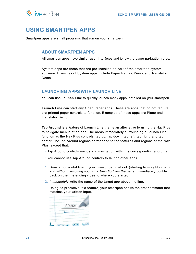# <span id="page-23-0"></span>**USING SMARTPEN APPS**

Smartpen apps are small programs that run on your smartpen.

#### <span id="page-23-1"></span>**ABOUT SMARTPEN APPS**

All smartpen apps have similar user interfaces and follow the same navigation rules.

System apps are those that are pre-installed as part of the smartpen system software. Examples of System apps include Paper Replay, Piano, and Translator Demo.

## <span id="page-23-2"></span>**LAUNCHING APPS WITH LAUNCH LINE**

You can use **Launch Line** to quickly launch many apps installed on your smartpen.

**Launch Line** can start any Open Paper apps. These are apps that do not require pre-printed paper controls to function. Examples of these apps are Piano and Translator Demo.

**Tap Around** is a feature of Launch Line that is an alternative to using the Nav Plus to navigate menus of an app. The areas immediately surrounding a Launch Line function as the Nav Plus controls: tap up, tap down, tap left, tap right, and tap center. The Tap Around regions correspond to the features and regions of the Nav Plus, except that:

- **•** Tap Around controls menus and navigation within its corresponding app only.
- **•** You cannot use Tap Around controls to launch other apps.
- 1. Draw a horizontal line in your Livescribe notebook (starting from right or left) and *without removing your smartpen tip from the page*, immediately double back on the line ending close to where you started.
- 2. *Immediately* write the name of the target app above the line.

Using its predictive text feature, your smartpen shows the first command that matches your written input.

| Piano |
|-------|
|       |
|       |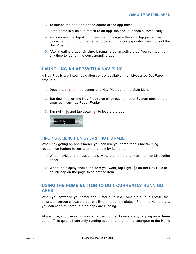3. To launch the app, tap on the center of the app name.

If the name is a unique match to an app, the app launches automatically.

- 4. You can use the Tap Around feature to navigate the app: Tap just above, below, left, or right of the name to perform the corresponding functions of the Nav Plus.
- 5. After creating a Launch Line, it remains as an active area. You can tap it at any time to launch the corresponding app.

#### <span id="page-24-0"></span>**LAUNCHING AN APP WITH A NAV PLUS**

A Nav Plus is a printed navigation control available in all Livescribe Dot Paper products.

- 1. Double-tap  $\hat{\bullet}$  on the center of a Nav Plus go to the Main Menu.
- 2. Tap down  $\frac{1}{4}$  on the Nav Plus to scroll through a list of System apps on the smartpen, such as Paper Replay.
- 3. Tap right  $\frac{1}{2}$  and tap down  $\frac{1}{4}$  to locate the app.



#### FINDING A MENU ITEM BY WRITING ITS NAME

When navigating an app's menu, you can use your smartpen's handwriting recognition feature to locate a menu item by its name.

- 1. When navigating an app's menu, write the name of a menu item on Livescribe paper.
- <span id="page-24-1"></span>2. When the display shows the item you want, tap right  $\frac{1}{2}$  on the Nav Plus or double-tap on the page to select the item.

# **USING THE HOME BUTTON TO QUIT CURRENTLY-RUNNING APPS**

When you power on your smartpen, it starts up in a **Home** state. In this state, the smartpen screen shows the current time and battery status. From the Home state, you can capture notes, but no apps are running.

At any time, you can return your smartpen to the Home state by tapping on a **Home** button. This quits all currently-running apps and returns the smartpen to the Home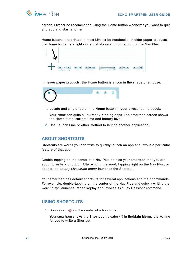

screen. Livescribe recommends using the Home button whenever you want to quit and app and start another.

Home buttons are printed in most Livescribe notebooks. In older paper products, the Home button is a light circle just above and to the right of the Nav Plus.

In newer paper products, the Home button is a icon in the shape of a house.



1. Locate and single-tap on the **Home** button in your Livescribe notebook.

Your smartpen quits all currently-running apps. The smartpen screen shows the Home state: current time and battery level.

<span id="page-25-0"></span>2. Use Launch Line or other method to launch another application.

#### **ABOUT SHORTCUTS**

Shortcuts are words you can write to quickly launch an app and invoke a particular feature of that app.

Double-tapping on the center of a Nav Plus notifies your smartpen that you are about to write a Shortcut. After writing the word, tapping right on the Nav Plus, or double-tap *on any Livescribe paper* launches the Shortcut.

<span id="page-25-1"></span>Your smartpen has default shortcuts for several applications and their commands. For example, double-tapping on the center of the Nav Plus and quickly writing the word "play" launches Paper Replay and invokes its "Play Session" command.

## **USING SHORTCUTS**

1. Double-tap  $\bigoplus$  on the center of a Nav Plus.

Your smartpen shows the **Shortcut** indicator (\*) in the **Main Menu**. It is waiting for you to write a Shortcut.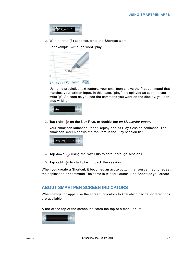

2. Within three (3) seconds, write the Shortcut word.

For example, write the word "play."



Using its predictive text feature, your smartpen shows the first command that matches your written input. In this case, "play" is displayed as soon as you write "p". As soon as you see the command you want on the display, you can stop writing.



3. Tap right  $\frac{1}{2}$  on the Nav Plus, or double-tap *on Livescribe paper*.

Your smartpen launches Paper Replay and its Play Session command. The smartpen screen shows the top item in the Play session list.



- 4. Tap down  $\frac{1}{\sqrt{2}}$  using the Nav Plus to scroll through sessions
- 5. Tap right  $\frac{1}{x}$  to start playing back the session.

<span id="page-26-0"></span>When you create a Shortcut, it becomes an active button that you can tap to repeat the application or command.The same is true for Launch Line Shortcuts you create.

#### **ABOUT SMARTPEN SCREEN INDICATORS**

When navigating apps, use the screen indicators to know which navigation directions are available.

A bar at the top of the screen indicates the top of a menu or list.

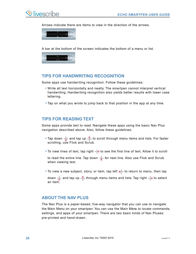

Arrows indicate there are items to view in the direction of the arrows.



A bar at the bottom of the screen indicates the bottom of a menu or list.



#### <span id="page-27-0"></span>**TIPS FOR HANDWRITING RECOGNITION**

Some apps use handwriting recognition. Follow these guidelines:

- **•** Write all text horizontally and neatly. The smartpen cannot interpret vertical handwriting. Handwriting recognition also yields better results with lower case lettering.
- <span id="page-27-1"></span>**•** Tap on what you wrote to jump back to that position in the app at any time.

#### **TIPS FOR READING TEXT**

Some apps provide text to read. Navigate these apps using the basic Nav Plus navigation described above. Also, follow these guidelines:

- Tap down  $\frac{1}{\theta}$  and tap up  $\frac{\phi}{\theta}$  to scroll through menu items and lists. For faster scrolling, use Flick and Scrub.
- To view lines of text, tap right  $\frac{1}{2}$  to see the first line of text. Allow it to scroll

to read the entire line. Tap down  $\frac{1}{\sqrt{2}}$  for next line. Also use Flick and Scrub when viewing text.

• To view a new subject, story, or item, tap left  $\frac{1}{\sqrt{2}}$  to return to menu, then tap

<span id="page-27-2"></span>down  $\frac{1}{\phi}$  and tap up  $\frac{\phi}{\phi}$  through menu items and lists. Tap right  $\frac{1}{\phi}$  to select an item.

#### **ABOUT THE NAV PLUS**

The Nav Plus is a paper-based, five-way navigator that you can use to navigate the Main Menu on your smartpen. You can use the Main Menu to locate commands, settings, and apps of your smartpen. There are two basic kinds of Nav Pluses: pre-printed and hand-drawn.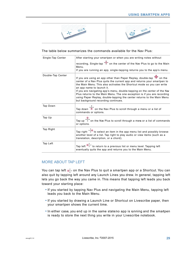



#### The table below summarizes the commands available for the Nav Plus:

| Single-Tap Center | After starting your smartpen or when you are writing notes without                                                                                                                                                                                                                                                                                                                                                                                                                                                                          |
|-------------------|---------------------------------------------------------------------------------------------------------------------------------------------------------------------------------------------------------------------------------------------------------------------------------------------------------------------------------------------------------------------------------------------------------------------------------------------------------------------------------------------------------------------------------------------|
|                   | recording, Single-tap $\overleftrightarrow{ }$ on the center of the Nav Plus to go to the Main<br>Menu.<br>If you are running an app, single-tapping returns you to the app's menu.                                                                                                                                                                                                                                                                                                                                                         |
| Double-Tap Center | If you are using an app other than Paper Replay, double-tap <sup>**</sup> on the<br>center of a Nav Plus quits the current app and returns your smartpen to<br>the Main Menu. This also activates the Shortcut mode so you can write<br>an app name to launch it.<br>If you are navigating app's menu, double-tapping on the center of the Nav<br>Plus returns to the Main Menu. The one exception is if you are recording<br>using Paper Replay, double-tapping the center returns to the Main Menu<br>but background recording continues. |
| Tap Down          | Tap down $\overrightarrow{0}$ on the Nav Plus to scroll through a menu or a list of<br>commands or options.                                                                                                                                                                                                                                                                                                                                                                                                                                 |
| Tap Up            | Tap up $\overrightarrow{1}$ on the Nav Plus to scroll through a menu or a list of commands<br>or options.                                                                                                                                                                                                                                                                                                                                                                                                                                   |
| Tap Right         | Tap right $\overline{\mathcal{L}}$ to select an item in the app menu list and possibly browse<br>another level of a list. Tap right to play audio or view items (such as a<br>translation, description, or a chord).                                                                                                                                                                                                                                                                                                                        |
| Tap Left          | Tap left $\overrightarrow{e_{+}}$ to return to a previous list or menu level. Tapping left<br>eventually quits the app and returns you to the Main Menu.                                                                                                                                                                                                                                                                                                                                                                                    |

#### MORE ABOUT TAP LEFT

You can tap left  $\circledast^+$  on the Nav Plus to quit a smartpen app or a Shortcut. You can also quit by tapping left around any Launch Lines you drew. In general, tapping left lets you go back the way you came in. This means that tapping left leads you back toward your starting place:

- **•** If you started by tapping Nav Plus and navigating the Main Menu, tapping left leads you back to the Main Menu.
- **•** If you started by drawing a Launch Line or Shortcut on Livescribe paper, then your smartpen shows the current time.
- In either case, you end up in the same stateno app is running and the smartpen is ready to store the next thing you write in your Livescribe notebook.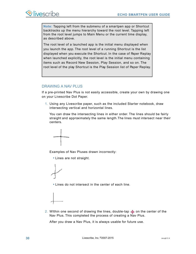**Note:** Tapping left from the submenu of a smartpen app or Shortcut backtracks up the menu hierarchy toward the root level. Tapping left from the root level jumps to Main Menu or the current time display, as described above.

The root level of a launched app is the initial menu displayed when you launch the app. The root level of a running Shortcut is the list displayed when you execute the Shortcut. In the case of Paper Replay when launched explicitly, the root level is the initial menu containing items such as Record New Session, Play Session, and so on. The root level of the play Shortcut is the Play Session list of Paper Replay.

#### DRAWING A NAV PLUS

If a pre-printed Nav Plus is not easily accessible, create your own by drawing one on your Livescribe Dot Paper.

1. Using any Livescribe paper, such as the included Starter notebook, draw intersecting vertical and horizontal lines.

You can draw the intersecting lines in either order. The lines should be fairly straight and approximately the same length.The lines must intersect near their centers.



Examples of Nav Pluses drawn incorrectly:

**•** Lines are not straight.



**•** Lines do not intersect in the center of each line.



2. Within one second of drawing the lines, double-tap  $\bigoplus$  on the center of the Nav Plus. This completed the process of creating a Nav Plus.

After you draw a Nav Plus, it is always usable for future use.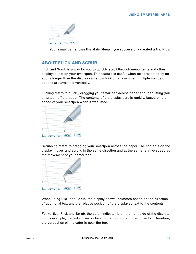

Your smartpen shows the Main Menu if you successfully created a Nav Plus.

### <span id="page-30-0"></span>**ABOUT FLICK AND SCRUB**

Flick and Scrub is a way for you to quickly scroll through menu items and other displayed text on your smartpen. This feature is useful when text presented by an app is longer than the display can show horizontally or when multiple menus or options are available vertically.

Flicking refers to quickly dragging your smartpen across paper and then lifting your smartpen off the paper. The contents of the display scrolls rapidly, based on the speed of your smartpen when it was lifted.



Scrubbing refers to dragging your smartpen across the paper. The contents on the display moves and scrolls in the same direction and at the same relative speed as the movement of your smartpen.



When using Flick and Scrub, the display shows indicators based on the direction of additional text and the relative position of the displayed text to the contents.

For vertical Flick and Scrub, the scroll indicator is on the right side of the display. In this example, the text shown is close to the top of the current mentlist. Therefore, the vertical scroll indicator is near the top.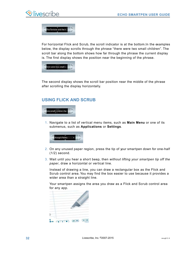

The Tortoise and the h

For horizontal Flick and Scrub, the scroll indicator is at the bottom. In the examples below, the display scrolls through the phrase "there were two small children". The scroll bar along the bottom shows how far through the phrase the current display is. The first display shows the position near the beginning of the phrase.



<span id="page-31-0"></span>The second display shows the scroll bar position near the middle of the phrase after scrolling the display horizontally.

### **USING FLICK AND SCRUB**



1. Navigate to a list of vertical menu items, such as **Main Menu** or one of its submenus, such as **Applications** or **Settings**.



- 2. On any unused paper region, press the tip of your smartpen down for one-half (1/2) second.
- 3. Wait until you hear a short beep, then *without lifting your smartpen tip off the paper*, draw a horizontal or vertical line.

Instead of drawing a line, you can draw a rectangular box as the Flick and Scrub control area. You may find the box easier to use because it provides a wider area than a straight line.

Your smartpen assigns the area you draw as a Flick and Scrub control area for any app.

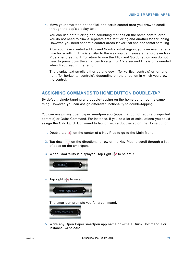4. Move your smartpen on the flick and scrub control area you drew to scroll through the app's display text.

You can use both flicking and scrubbing motions on the same control area. You do not need to draw a separate area for flicking and another for scrubbing. However, you need separate control areas for vertical and horizontal scrolling.

After you have created a Flick and Scrub control region, you can use it at any time for scrolling. This is similar to the way you can re-use a hand-drawn Nav Plus after creating it. To return to use the Flick and Scrub region you do not need to press down the smartpen tip again for 1/2 a second. This is only needed when first creating the region.

The display text scrolls either up and down (for vertical controls) or left and right (for horizontal controls), depending on the direction in which you drew the control.

#### <span id="page-32-0"></span>**ASSIGNING COMMANDS TO HOME BUTTON DOUBLE-TAP**

By default, single-tapping and double-tapping on the home button do the same thing. However, you can assign different functionality to double-tapping.

You can assign any open paper smartpen app (apps that do not require pre-printed controls) or Quick Command. For instance, if you do a lot of calculations, you could assign the Calc Quick Command to launch with a double-tap on the Home button.

- 1. Double-tap  $\ddot{\bullet}$  on the center of a Nav Plus to go to the Main Menu.
- 2. Tap down  $\frac{1}{2}$  on the directional arrow of the Nav Plus to scroll through a list of apps on the smartpen.
- 3. When **Shortcuts** is displayed, Tap right  $\frac{1}{10}$  to select it.



4. Tap right  $\frac{1}{2}$  to select it.



The smartpen prompts you for a command**.**



5. Write any Open Paper smartpen app name or write a Quick Command. For instance, write **calc**.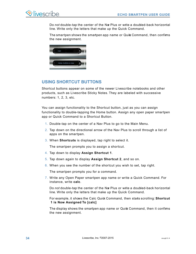

Do *not* double-tap the center of the Nav Plus or write a doubled-back horizontal line. Write only the letters that make up the Quick Command.

The smartpen shows the smartpen app name or Quik Command, then confirms the new assignment.



### <span id="page-33-0"></span>**USING SHORTCUT BUTTONS**

Shortcut buttons appear on some of the newer Livescribe notebooks and other products, such as Livescribe Sticky Notes. They are labeled with successive numbers: 1, 2, 3, etc.

You can assign functionality to the Shortcut button, just as you can assign functionality to double-tapping the Home button. Assign any open paper smartpen app or Quick Command to a Shortcut Button.

- 1. Double-tap on the center of a Nav Plus to go to the Main Menu.
- 2. Tap down on the directional arrow of the Nav Plus to scroll through a list of apps on the smartpen.
- 3. When **Shortcuts** is displayed, tap right to select it.

The smartpen prompts you to assign a shortcut.

- 4. Tap down to display **Assign Shortcut 1**.
- 5. Tap down again to display **Assign Shortcut 2**, and so on.
- 6. When you see the number of the shortcut you wish to set, tap right.

The smartpen prompts you for a command.

7. Write any Open Paper smartpen app name or write a Quick Command. For instance, write **calc**.

Do *not* double-tap the center of the Nav Plus or write a doubled-back horizontal line. Write only the letters that make up the Quick Command.

For example, it shows the Calc Quick Command, then starts scrolling: **Shortcut 1 is Now Assigned To [calc]**

The display shows the smartpen app name or Quick Command, then it confirms the new assignment.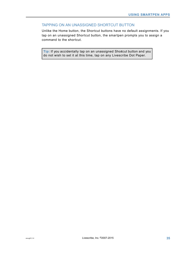#### TAPPING ON AN UNASSIGNED SHORTCUT BUTTON

Unlike the Home button, the Shortcut buttons have no default assignments. If you tap on an unassigned Shortcut button, the smartpen prompts you to assign a command to the shortcut.

**Tip:** If you accidentally tap on an unassigned Shortcut button and you do not wish to set it at this time, tap on any Livescribe Dot Paper.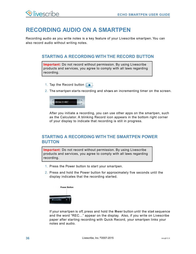# <span id="page-35-0"></span>**RECORDING AUDIO ON A SMARTPEN**

Recording audio as you write notes is a key feature of your Livescribe smartpen. You can also record audio without writing notes.

### <span id="page-35-1"></span>**STARTING A RECORDING WITH THE RECORD BUTTON**

**Important:** Do not record without permission. By using Livescribe products and services, you agree to comply with all laws regarding recording.

- 1. Tap the Record button  $\begin{array}{|c|c|c|}\n\hline\n\bullet\end{array}$
- 2. The smartpen starts recording and shows an incrementing timer on the screen.



After you initiate a recording, you can use other apps on the smartpen, such as the Calculator. A blinking Record icon appears in the bottom right corner of your display to indicate that recording is still in progress.

# <span id="page-35-2"></span>**STARTING A RECORDING WITH THE SMARTPEN POWER BUTTON**

**Important:** Do not record without permission. By using Livescribe products and services, you agree to comply with all laws regarding recording.

- 1. Press the Power button to start your smartpen.
- 2. Press and hold the Power button for approximately five seconds until the display indicates that the recording started.



If your smartpen is off, press and hold the Power button until the start sequence and the word "REC…" appear on the display. Also, if you write on Livescribe paper after starting recording with Quick Record, your smartpen links your notes and audio.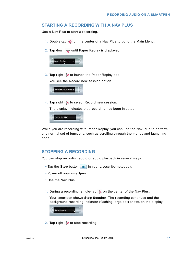## **STARTING A RECORDING WITH A NAV PLUS**

Use a Nav Plus to start a recording.

- 1. Double-tap  $\hat{\bf \Phi}$  on the center of a Nav Plus to go to the Main Menu.
- 2. Tap down  $\frac{1}{4}$  until Paper Replay is displayed.



3. Tap right  $\frac{1}{2}$  to launch the Paper Replay app.

You see the Record new session option.



4. Tap right  $\frac{1}{2}$  to select Record new session.

The display indicates that recording has been initiated.



While you are recording with Paper Replay, you can use the Nav Plus to perform any normal set of functions, such as scrolling through the menus and launching apps.

## **STOPPING A RECORDING**

You can stop recording audio or audio playback in several ways.

- Tap the **Stop** button **in** in your Livescribe notebook.
- **•** Power off your smartpen.
- **•** Use the Nav Plus.
- 1. During a recording, single-tap  $\phi$  on the center of the Nav Plus.

Your smartpen shows **Stop Session**. The recording continues and the background recording indicator (flashing large dot) shows on the display.



2. Tap right  $\frac{1}{2}$  to stop recording.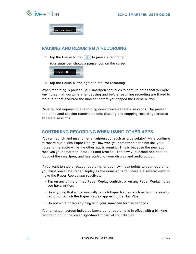



## **PAUSING AND RESUMING A RECORDING**

1. Tap the Pause button  $\mathbf{u}$  to pause a recording.

Your smartpen shows a pause icon on the screen.



2. Tap the Pause button again to resume recording.

When recording is paused, your smartpen continues to capture notes that you write. Any notes that you write after pausing and before resuming recording are linked to the audio that occurred the moment before you tapped the Pause button.

Pausing and unpausing a recording does create separate sessions. The paused and unpaused session remains as one. Starting and stopping recordings creates separate sessions.

## **CONTINUING RECORDING WHEN USING OTHER APPS**

You can launch and un another smartpen app (such as a calculator) while conturing to record audio with Paper Replay. However, your smartpen does not link your notes to the audio while the other app is running. This is because the new app receives your smartpen input (ink and strokes). The newly-launched app has the focus of the smartpen, and has control of your display and audio output.

If you want to stop or pause recording, or add new index points to your recording, you must reactivate Paper Replay as the dominant app. There are several ways to make the Paper Replay app reactivate:

- **•** Tap on any of the printed Paper Replay controls, or on any Paper Replay notes you have written.
- **•** Do anything that would normally launch Paper Replay, such as tap in a session region or launch the Paper Replay app using the Nav Plus.
- **•** Do not write or tap anything with your smartpen for five seconds.

Your smartpen screen indicates background recording is in effect with a blinking recording dot in the lower right-hand corner of your display.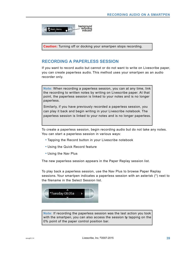

**Caution:** Turning off or docking your smartpen stops recording.

## **RECORDING A PAPERLESS SESSION**

If you want to record audio but cannot or do not want to write on Livescribe paper, you can create paperless audio. This method uses your smartpen as an audio recorder only.

**Note:** When recording a paperless session, you can at any time, link the recording to written notes by writing on Livescribe paper. At that point, the paperless session is linked to your notes and is no longer paperless.

Similarly, if you have previously recorded a paperless session, you can play it back and begin writing in your Livescribe notebook. The paperless session is linked to your notes and is no longer paperless.

To create a paperless session, begin recording audio but do not take any notes. You can start a paperless session in various ways:

- **•** Tapping the Record button in your Livescribe notebook
- **•** Using the Quick Record feature
- **•** Using the Nav Plus

The new paperless session appears in the Paper Replay session list.

To play back a paperless session, use the Nav Plus to browse Paper Replay sessions. Your smartpen indicates a paperless session with an asterisk (\*) next to the filename in the Select Session list.



**Note:** If recording the paperless session was the last action you took with the smartpen, you can also access the session by tapping on the 0% point of the paper control position bar.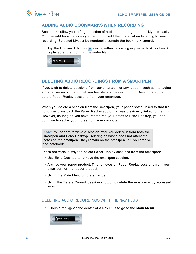## **ADDING AUDIO BOOKMARKS WHEN RECORDING**

Bookmarks allow you to flag a section of audio and later go to it quickly and easily. You can add bookmarks as you record, or add them later when listening to your recording. Selected Livescribe notebooks contain the bookmark control.

• Tap the Bookmark button **a** during either recording or playback. A bookmark is placed at that point in the audio file.



# **DELETING AUDIO RECORDINGS FROM A SMARTPEN**

If you wish to delete sessions from pur smartpen for any reason, such as managing storage, we recommend that you transfer your notes to Echo Desktop and then delete Paper Replay sessions from your smartpen.

When you delete a session from the smartpen, your paper notes linked to that file no longer plays back the Paper Replay audio that was previously linked to that ink. However, as long as you have transferred your notes to Echo Desktop, you can continue to replay your notes from your computer.

**Note:** You cannot retrieve a session after you delete it from both the smartpen and Echo Desktop. Deleting sessions does not affect the notes on the smartpen - they remain on the smartpen until you archive the notebook.

There are various ways to delete Paper Replay sessions from the smartpen:

- **•** Use Echo Desktop to remove the smartpen session.
- **•** Archive your paper product. This removes all Paper Replay sessions from your smartpen for that paper product.
- **•** Using the Main Menu on the smartpen.
- Using the Delete Current Session shotcut to delete the most-recently accessed session.

#### DELETING AUDIO RECORDINGS WITH THE NAV PLUS

1. Double-tap  $\bigcirc$  on the center of a Nav Plus to go to the **Main Menu**.

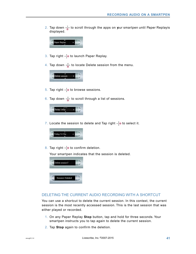2. Tap down  $\frac{1}{6}$  to scroll through the apps on your smartpen until Paper Replayis displayed.



- 3. Tap right  $\frac{1}{2}$  to launch Paper Replay.
- 4. Tap down  $\frac{1}{\phi}$  to locate Delete session from the menu.



- 5. Tap right  $\frac{1}{2}$  to browse sessions.
- 6. Tap down  $\frac{1}{\phi}$  to scroll through a list of sessions.



7. Locate the session to delete and Tap right  $\frac{1}{x}$  to select it.



8. Tap right  $\frac{1}{2}$  to confirm deletion.

Your smartpen indicates that the session is deleted.



#### DELETING THE CURRENT AUDIO RECORDING WITH A SHORTCUT

You can use a shortcut to delete the current session. In this context, the current session is the most recently accessed session. This is the last session that was either played or recorded.

- 1. On any Paper Replay **Stop** button, tap and hold for three seconds. Your smartpen instructs you to tap again to delete the current session.
- 2. Tap **Stop** again to confirm the deletion.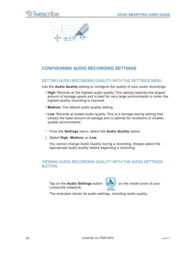



# **CONFIGURING AUDIO RECORDING SETTINGS**

#### SETTING AUDIO RECORDING QUALITY WITH THE SETTINGS MENU

Use the **Audio Quality** setting to configure the quality of your audio recordings.

- **• High**: Records at the highest audio quality. This setting requires the largest amount of storage space and is best for very large environments or when the highest-quality recording is required.
- **• Medium**: The default audio quality setting.
- **• Low**: Records at lowest audio quality. This is a storage-saving setting that utilizes the least amount of storage and is optimal for dictations or smaller, quieter environments.
- 1. From the **Settings** menu, select the **Audio Quality** option.
- 2. Select **High**, **Medium,** or **Low**.

You cannot change Audio Quality during a recording. Always select the appropriate audio quality before beginning a recording.

#### VIEWING AUDIO RECORDING QUALITY WITH THE AUDIO SETTINGS BUTTON

Tap on the **Audio Settings** button **on the inside cover of your** Livescribe notebook.



The smartpen shows its audio settings, including audio quality.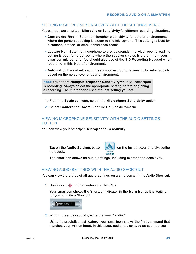#### SETTING MICROPHONE SENSITIVITY WITH THE SETTINGS MENU

You can set your smartpen **Microphone Sensitivity** for different recording situations.

- **• Conference Room**: Sets the microphone sensitivity for quieter environments where the person speaking is closer to the microphone. This setting is best for dictations, offices, or small conference rooms.
- **• Lecture Hall**: Sets the microphone to pick up sounds in a wider open area.This setting is best for large rooms where the speaker's voice is distant from your smartpen microphone. You should also use of the 3-D Recording Headset when recording in this type of environment.
- **• Automatic**: The default setting, sets your microphone sensitivity automatically based on the noise level of your environment.

**Note:**You cannot change **Microphone Sensitivity** while your smartpen is recording. Always select the appropriate setting before beginning a recording. The microphone uses the last setting you set.

- 1. From the **Settings** menu, select the **Microphone Sensitivity** option.
- 2. Select **Conference Room**, **Lecture Hall,** or **Automatic**.

#### VIEWING MICROPHONE SENSITIVITY WITH THE AUDIO SETTINGS BUTTON

You can view your smartpen **Microphone Sensitivity**.

Tap on the **Audio Settings** button  $\sqrt{2}$  on the inside cover of a Livescribe notebook. audio settings

The smartpen shows its audio settings, including microphone sensitivity.

#### VIEWING AUDIO SETTINGS WITH THE AUDIO SHORTCUT

You can view the status of all audio settings on a smatpen with the Audio Shortcut:

1. Double-tap  $\hat{\Phi}$  on the center of a Nav Plus.

Your smartpen shows the Shortcut indicator in the **Main Menu**. It is waiting for you to write a Shortcut.



2. Within three (3) seconds, write the word "audio."

Using its predictive text feature, your smartpen shows the first command that matches your written input. In this case, audio is displayed as soon as you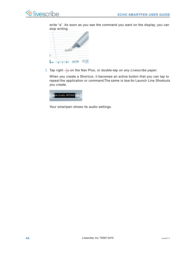write "a". As soon as you see the command you want on the display, you can stop writing.



3. Tap right  $\frac{1}{2}$  on the Nav Plus, or double-tap *on any Livescribe paper*.

When you create a Shortcut, it becomes an active button that you can tap to repeat the application or command. The same is true for Launch Line Shortcuts you create.



Your smartpen shows its audio settings.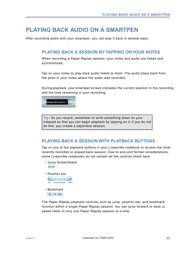# **PLAYING BACK AUDIO ON A SMARTPEN**

After recording audio with your smartpen, you can play it back in several ways.

## **PLAYING BACK A SESSION BY TAPPING ON YOUR NOTES**

When recording a Paper Replay session, your notes and audio are linked and synchronized.

Tap on your notes to play back audio linked to them. The audio plays back from the point in your notes where the audio was recorded.

During playback, your smartpen screen indicates the current position in the recording and the time remaining in your recording.



**Tip:** As you record, remember to write something down on your notepad so that you can begin playback by tapping on it. If you do not do this, you create a paperless session.

## **PLAYING BACK A SESSION WITH PLAYBACK BUTTONS**

Tap on any of the playback buttons in your Livescribe notebook to access the most recently recorded or played-back session. Due to size and format considerations, some Livescribe notebooks do not contain all the controls listed here.

- **•** Jump forward/back  $\sqrt{2}$
- **•** Position bar  $\bullet \qquad \qquad \bullet$



\* \*\* \*\*

The Paper Replay playback controls such as jump, position bar, and bookmark, function within a single Paper Replay session. You can jump forward or back or speed listen to only one Paper Replay session at a time.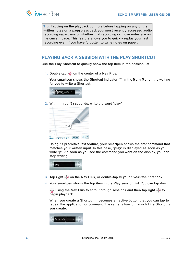

**Tip:** Tapping on the playback controls before tapping on any of the written notes on a page plays back your most recently accessed audio recording regardless of whether that recording or those notes are on the current page. This feature allows you to quickly replay your last recording even if you have forgotten to write notes on paper.

## **PLAYING BACK A SESSION WITH THE PLAY SHORTCUT**

Use the Play Shortcut to quickly show the top item in the session list.

1. Double-tap  $\bigoplus$  on the center of a Nav Plus.

Your smartpen shows the Shortcut indicator (\*) in the **Main Menu**. It is waiting for you to write a Shortcut.



2. Within three (3) seconds, write the word "play."



Using its predictive text feature, your smartpen shows the first command that matches your written input. In this case, "**play**" is displayed as soon as you write "p". As soon as you see the command you want on the display, you can stop writing.



- 3. Tap right  $\frac{1}{2}$  on the Nav Plus, or double-tap *in your Livescribe notebook*.
- 4. Your smartpen shows the top item in the Play session list. You can tap down

 $\frac{1}{\phi}$  using the Nav Plus to scroll through sessions and then tap right  $\frac{1}{\phi}$  to begin playback.

When you create a Shortcut, it becomes an active button that you can tap to repeat the application or command.The same is true for Launch Line Shortcuts you create.

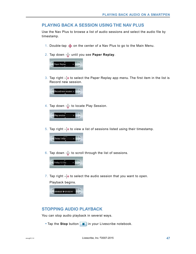## **PLAYING BACK A SESSION USING THE NAV PLUS**

Use the Nav Plus to browse a list of audio sessions and select the audio file by timestamp.

- 1. Double-tap  $\hat{\bf{\Phi}}$  on the center of a Nav Plus to go to the Main Menu.
- 2. Tap down  $\frac{1}{\sqrt{2}}$  until you see **Paper Replay**.



3. Tap right  $\frac{1}{2}$  to select the Paper Replay app menu. The first item in the list is Record new session.



4. Tap down  $\frac{1}{\sqrt{6}}$  to locate Play Session.



5. Tap right  $\frac{1}{2}$  to view a list of sessions listed using their timestamp.



6. Tap down  $\frac{1}{6}$  to scroll through the list of sessions.



7. Tap right  $\frac{1}{2}$  to select the audio session that you want to open. Playback begins.



## **STOPPING AUDIO PLAYBACK**

You can stop audio playback in several ways.

• Tap the **Stop** button **in** in your Livescribe notebook.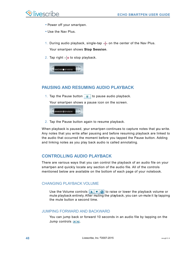- **•** Power off your smartpen.
- **•** Use the Nav Plus.
- 1. During audio playback, single-tap  $\overline{\mathcal{L}}$  on the center of the Nav Plus. Your smartpen shows **Stop Session**.
- 2. Tap right  $\frac{1}{2}$  to stop playback.



# **PAUSING AND RESUMING AUDIO PLAYBACK**

1. Tap the Pause button  $\|\cdot\|$  to pause audio playback.

Your smartpen shows a pause icon on the screen.



2. Tap the Pause button again to resume playback.

When playback is paused, your smartpen continues to capture notes that you write. Any notes that you write after pausing and before resuming playback are linked to the audio that occurred the moment before you tapped the Pause button. Adding and linking notes as you play back audio is called annotating.

# **CONTROLLING AUDIO PLAYBACK**

There are various ways that you can control the playback of an audio file on your smartpen and quickly locate any section of the audio file. All of the controls mentioned below are available on the bottom of each page of your notebook.

## CHANGING PLAYBACK VOLUME

Use the Volume controls to raise or lower the playback volume or mute playback entirely. After muting the playback, you can un-mute it by tapping the mute button a second time.

#### JUMPING FORWARD AND BACKWARD

You can jump back or forward 10 seconds in an audio file by tapping on the Jump controls  $\boxed{\bullet}{\bullet}$ .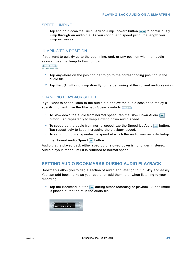#### SPEED JUMPING

Tap and hold down the Jump Back or Jump Forward button  $\sim$  to continuously jump through an audio file. As you continue to speed jump, the length you jump increases.

#### JUMPING TO A POSITION

If you want to quickly go to the beginning, end, or any position within an audio session, use the Jump to Position bar.

- 1. Tap anywhere on the position bar to go to the corresponding position in the audio file.
- 2. Tap the 0% button to jump directly to the beginning of the current audio session.

#### CHANGING PLAYBACK SPEED

If you want to speed listen to the audio file or slow the audio session to replay a specific moment, use the Playback Speed controls  $\leftarrow \leftarrow \leftarrow$ 

- To slow down the audio from normal speed, tap the Slow Down Audio  $\boxed{-}$ button. Tap repeatedly to keep slowing down audio speed.
- To speed up the audio from normal speed, tap the Speed Up Audio  $\rightarrow$  button. Tap repeat-edly to keep increasing the playback speed.
- **•** To return to normal speed—the speed at which the audio was recorded—tap the Normal Audio Speed  $\rightarrow$  button.

Audio that is played back either sped up or slowed down is no longer in stereo. Audio plays in mono until it is returned to normal speed.

#### **SETTING AUDIO BOOKMARKS DURING AUDIO PLAYBACK**

Bookmarks allow you to flag a section of audio and later go to it quid ly and easily. You can add bookmarks as you record, or add them later when listening to your recording.

**•** Tap the Bookmark button  $\blacktriangleright$  during either recording or playback. A bookmark is placed at that point in the audio file.

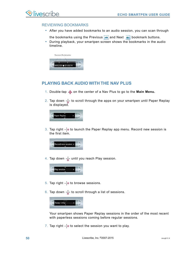#### REVIEWING BOOKMARKS

- **•** After you have added bookmarks to an audio session, you can scan through
	- the bookmarks using the Previous  $\leftrightarrow$  and Next  $\leftrightarrow$  bookmark buttons.
- **•** During playback, your smartpen screen shows the bookmarks in the audio timeline.



## **PLAYING BACK AUDIO WITH THE NAV PLUS**

- 1. Double-tap  $\hat{\Phi}$  on the center of a Nav Plus to go to the **Main Menu.**
- 2. Tap down  $\frac{1}{6}$  to scroll through the apps on your smartpen until Paper Replay is displayed.



3. Tap right  $\frac{1}{2}$  to launch the Paper Replay app menu. Record new session is the first item.



4. Tap down  $\frac{1}{2}$  until you reach Play session.



- 5. Tap right  $\frac{1}{2}$  to browse sessions.
- 6. Tap down  $\frac{1}{\sqrt{6}}$  to scroll through a list of sessions.



Your smartpen shows Paper Replay sessions in the order of the most recent with paperless sessions coming before regular sessions.

7. Tap right  $\frac{1}{2}$  to select the session you want to play.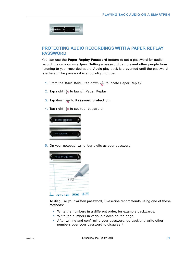

## **PROTECTING AUDIO RECORDINGS WITH A PAPER REPLAY PASSWORD**

You can use the **Paper Replay Password** feature to set a password for audio recordings on your smartpen. Setting a password can prevent other people from listening to your recorded audio. Audio play back is prevented until the password is entered. The password is a four-digit number.

- 1. From the **Main Menu**, tap down  $\frac{1}{\sqrt{6}}$  to locate Paper Replay.
- 2. Tap right  $\frac{1}{2}$  to launch Paper Replay.
- 3. Tap down  $\frac{1}{\sqrt{2}}$  to **Password protection**.
- 4. Tap right  $\frac{1}{2}$  to set your password.



5. On your notepad, write four digits as your password.



To disguise your written password, Livescribe recommends using one of these methods:

- **•** Write the numbers in a different order, for example backwards.
- **•** Write the numbers in various places on the page.
- **•** After writing and confirming your password, go back and write other numbers over your password to disguise it.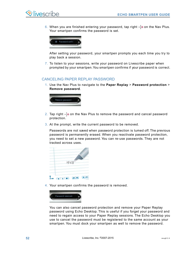6. When you are finished entering your password, tap right  $\frac{1}{x}$  on the Nav Plus. Your smartpen confirms the password is set.



After setting your password, your smartpen prompts you each time you try to play back a session.

7. To listen to your sessions, write your password on Livescribe paper when prompted by your smartpen.You smartpen confirms if your password is correct.

### CANCELING PAPER REPLAY PASSWORD

1. Use the Nav Plus to navigate to the **Paper Replay** > **Password protection** > **Remove password**.



- 2. Tap right  $\frac{1}{10}$  on the Nav Plus to remove the password and cancel password protection.
- 3. At the prompt, write the current password to be removed.

Passwords are not saved when password protection is turned off. The previous password is permanently erased. When you reactivate password protection, you need to set a new password. You can re-use passwords. They are not tracked across uses.

| 1958                                |
|-------------------------------------|
| $\sim$<br>$\mathbf{u}$ $\mathbf{u}$ |

4. Your smartpen confirms the password is removed.



You can also cancel password protection and remove your Paper Replay password using Echo Desktop. This is useful if you forget your password and need to regain access to your Paper Replay sessions. The Echo Desktop you use to cancel the password must be registered to the same account as your smartpen. You must dock your smartpen as well to remove the password.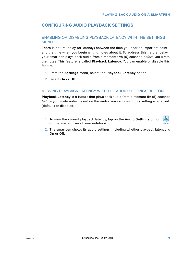# **CONFIGURING AUDIO PLAYBACK SETTINGS**

## ENABLING OR DISABLING PLAYBACK LATENCY WITH THE SETTINGS MENU

There is natural delay (or latency) between the time you hear an important point and the time when you begin writing notes about it. To address this natural delay, your smartpen plays back audio from a moment five (5) seconds *before* you wrote the notes. This feature is called **Playback Latency**. You can enable or disable this feature.

- 1. From the **Settings** menu, select the **Playback Latency** option.
- 2. Select **On** or **Off**.

### VIEWING PLAYBACK LATENCY WITH THE AUDIO SETTINGS BUTTON

**Playback Latency** is a feature that plays back audio from a moment five (5) seconds *before* you wrote notes based on the audio. You can view if this setting is enabled (default) or disabled.

- 1. To view the current playback latency, tap on the **Audio Settings** button on the inside cover of your notebook.
- 2. The smartpen shows its audio settings, including whether playback latency is On or Off.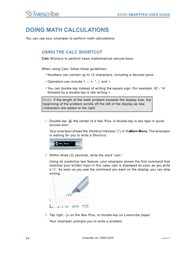# **DOING MATH CALCULATIONS**

You can use your smartpen to perform math calculations.

## **USING THE CALC SHORTCUT**

**Calc** Shortcut to perform basic mathematical calcula-tions.

When using Calc, follow these guidelines:

- **•** Numbers can contain up to 12 characters, including a decimal point.
- **•** Operators can include +, -, ×, \*, /, and ÷.
- **•** You can double-tap instead of writing the equals sign. For example, 52 14 followed by a double-tap is like writing  $=$ .

**Note:** If the length of the math problem exceeds the display size, the beginning of the problem scrolls off the left of the display as new characters are added to the right.

1. Double-tap  $\bigoplus$  the center of a Nav Plus. A double-tap is two taps in quick succes-sion.

Your smartpen shows the Shortcut indicator (\*) in the **Main Menu**. The smartpen is waiting for you to write a Shortcut.



2. Within three (3) seconds, write the word "calc."

Using its predictive text feature, your smartpen shows the first command that matches your written input In this case, calc is displayed as soon as you write a "c". As soon as you see the command you want on the display, you can stop writing.

|   | calc |  |  |
|---|------|--|--|
|   |      |  |  |
| ö |      |  |  |

3. Tap right  $\frac{1}{2}$  on the Nav Plus, or double-tap *on Livescribe paper*. Your smartpen prompts you to write a problem.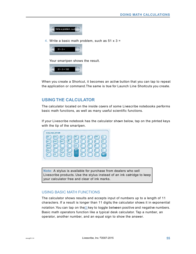

4. Write a basic math problem, such as  $51 \times 3 =$ 



Your smartpen shows the result.



When you create a Shortcut, it becomes an active button that you can tap to repeat the application or command.The same is true for Launch Line Shortcuts you create.

## **USING THE CALCULATOR**

The calculator located on the inside covers of some Livescribe notebooks performs basic math functions, as well as many useful scientific functions.

If your Livescribe notebook has the calculator shown below, tap on the printed keys with the tip of the smartpen.



**Note:** A stylus is available for purchase from dealers who sell Livescribe products. Use the stylus instead of an ink catridge to keep your calculator free and clear of ink marks.

#### USING BASIC MATH FUNCTIONS

The calculator shows results and accepts input of numbers up to a length of 11 characters. If a result is longer than 11 digits, the calculator shows it in exponential notation. You can tap on the  $\pm$  key to toggle between positive and negative numbers. Basic math operators function like a typical desk calculator. Tap a number, an operator, another number, and an equal sign to show the answer.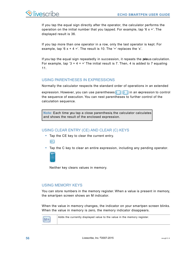

If you tap the equal sign directly after the operator, the calculator performs the operation on the initial number that you tapped. For example, tap '6  $\times$  ='. The displayed result is 36.

If you tap more than one operator in a row, only the last operator is kept. For example, tap '6  $x + 4 = 7$ . The result is 10. The '+' replaces the 'x'.

If you tap the equal sign repeatedly in succession, it repeats the prious calculation. For example, tap '3 + 4 =  $=$ ' The initial result is 7. Then, 4 is added to 7 equaling 11.

## USING PARENTHESES IN EXPRESSIONS

Normally the calculator respects the standard order of operations in an extended

expression. However, you can use parentheses  $($   $)$   $)$  in an expression to control the sequence of execution. You can nest parentheses to further control of the calculation sequence.

**Note:** Each time you tap a close parenthesis, the calculator calculates and shows the result of the enclosed expression.

## USING CLEAR ENTRY (CE) AND CLEAR (C) KEYS

- **•** Tap the CE key to clear the current entry.  $CE$
- **•** Tap the C key to clear an entire expression, including any pending operator.



Neither key clears values in memory.

### USING MEMORY KEYS

You can store numbers in the memory register. When a value is present in memory, the smartpen screen shows an M indicator.

When the value in memory changes, the indicator on your smartpen screen blinks. When the value in memory is zero, the memory indicator disappears.

Adds the currently displayed value to the value in the memory register.  $M+$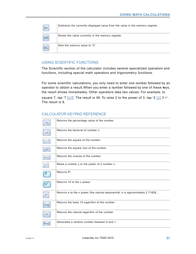| $M -$ | Subtracts the currently displayed value from the value in the memory register. |
|-------|--------------------------------------------------------------------------------|
| MP    | Shows the value currently in the memory register.                              |
| MC    | Sets the memory value to "0".                                                  |

## USING SCIENTIFIC FUNCTIONS

The Scientific section of the calculator includes several specialized operators and functions, including special math operators and trigonometry functions.

For some scientific calculations, you only need to enter one number followed by an operator to obtain a result.When you enter a number followed by one of these keys, the result shows immediately. Other operators take two values. For example, to

square 7, tap '7  $\left[x^*\right]$ . The result is 49. To raise 2 to the power of 3, tap '2  $\left[y^*\right]$  3 ='. The result is 8.

### CALCULATOR KEYPAD REFERENCE

| %               | Returns the percentage value of the number.                                   |
|-----------------|-------------------------------------------------------------------------------|
| n!              | Returns the factorial of number n.                                            |
| $\mathcal{X}^2$ | Returns the square of the number.                                             |
| $\sqrt{x}$      | Returns the square root of the number.                                        |
| 1/x             | Returns the inverse of the number.                                            |
| $\nu^*$         | Raise a number y to the power of a number x.                                  |
| $\pi$           | Returns Pi.                                                                   |
|                 | Returns 10 to the x power.                                                    |
| $e^{x}$         | Returns e to the x power (the natural exponential. e is approximately 2.71828 |
| log             | Returns the base 10 logarithm of the number.                                  |
| $\ln$           | Returns the natural logarithm of the number.                                  |
| Rnd             | Generates a random number between 0 and 1.                                    |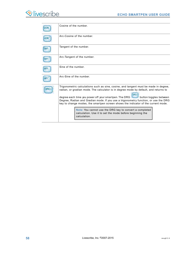L,

|            | Cosine of the number                                                                                                                                                                                                                                                                                                                                                                                                                     |  |
|------------|------------------------------------------------------------------------------------------------------------------------------------------------------------------------------------------------------------------------------------------------------------------------------------------------------------------------------------------------------------------------------------------------------------------------------------------|--|
|            | Arc-Cosine of the number                                                                                                                                                                                                                                                                                                                                                                                                                 |  |
| tan        | Tangent of the number.                                                                                                                                                                                                                                                                                                                                                                                                                   |  |
|            | Arc-Tangent of the number.                                                                                                                                                                                                                                                                                                                                                                                                               |  |
|            | Sine of the number                                                                                                                                                                                                                                                                                                                                                                                                                       |  |
| <b>SIN</b> | Arc-Sine of the number                                                                                                                                                                                                                                                                                                                                                                                                                   |  |
|            | Trigonometric calculations such as sine, cosine, and tangent must be made in degree,<br>radian, or gradian mode. The calculator is in degree mode by default, and returns to<br>degree each time you power off your smartpen. The DRG button toggles between<br>Degree, Radian and Gradian mode. If you use a trigonometry function, or use the DRG<br>key to change modes, the smartpen screen shows the indicator of the current mode. |  |
|            | Note: You cannot use the DRG key to convert a completed<br>calculation. Use it to set the mode before beginning the<br>calculation.                                                                                                                                                                                                                                                                                                      |  |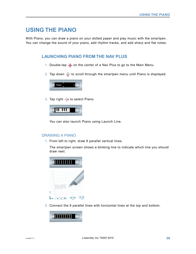# **USING THE PIANO**

With Piano, you can draw a piano on your dotted paper and play music with the smartpen. You can change the sound of your piano, add rhythm tracks, and add sharp and flat notes.

## **LAUNCHING PIANO FROM THE NAV PLUS**

- 1. Double-tap  $\hat{\bf Q}$  on the center of a Nav Plus to go to the Main Menu.
- 2. Tap down  $\frac{1}{\sqrt{6}}$  to scroll through the smartpen menu until Piano is displayed.



3. Tap right  $\frac{1}{2}$  to select Piano.



You can also launch Piano using Launch Line.

#### DRAWING A PIANO

1. From left to right, draw 9 parallel vertical lines.

The smartpen screen shows a blinking line to indicate which line you should draw next.



2. Connect the 9 parallel lines with horizontal lines at the top and bottom.

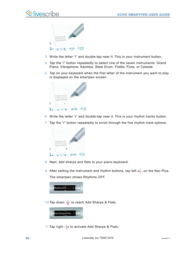| $\mathbf{u}$ .<br><b>URITER</b><br><b>STATE</b> |  |
|-------------------------------------------------|--|

- 3. Write the letter "i" and double-tap near it. This is your instrument button.
- 4. Tap the "i" button repeatedly to select one of the seven instruments: Grand Piano, Vibraphone, Kalimba, Steel Drum, Fiddle, Flute, or Celeste.
- 5. Tap on your keyboard when the first letter of the instrument you want to play is displayed on the smartpen screen.



- 6. Write the letter "r" and double-tap near it. This is your rhythm tracks button.
- 7. Tap the "r" button repeatedly to scroll through the five rhythm track options.



- 8. Next, add sharps and flats to your piano keyboard.
- 9. After setting the instrument and rhythm buttons, tap left  $\bigoplus$  on the Nav Plus. The smartpen shows Rhythms OFF.



10.Tap down  $\frac{1}{\Phi}$  to reach Add Sharps & Flats.



11.Tap right  $\frac{1}{2}$  to activate Add Sharps & Flats.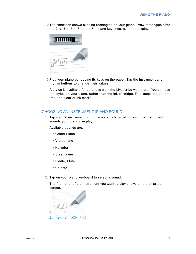12.The smartpen shows blinking rectangles on your piano. Draw rectangles after the 2nd, 3rd, 5th, 6th, and 7th piano key lines, as in the display.



13.Play your piano by tapping its keys on the paper. Tap the instrument and rhythm buttons to change their values.

A stylus is available for purchase from the Livescribe web store. You can use the stylus on your piano, rather than the ink cartridge. This keeps the paper free and clear of ink marks.

#### CHOOSING AN INSTRUMENT (PIANO SOUND)

1. Tap your "i" instrument button repeatedly to scroll through the instrument sounds your piano can play.

Available sounds are:

- **•** Grand Piano
- **•** Vibraphone
- **•** Kalimba
- **•** Steel Drum
- **•** Fiddle, Flute
- **•** Celeste
- 2. Tap on your piano keyboard to select a sound.

The first letter of the instrument you want to play shows on the smartpen screen.

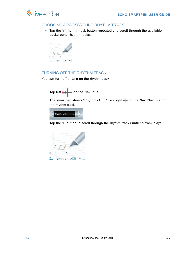### CHOOSING A BACKGROUND RHYTHM TRACK

**•** Tap the "r" rhythm track button repeatedly to scroll through the available background rhythm tracks.



## TURNING OFF THE RHYTHM TRACK

You can turn off or turn on the rhythm track.

• Tap left  $\bigoplus$  on the Nav Plus.

The smartpen shows "Rhythms OFF." Tap right  $\frac{1}{10}$  on the Nav Plus to stop the rhythm track



**•** Tap the "r" button to scroll through the rhythm tracks until no track plays.

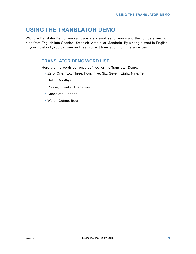# **USING THE TRANSLATOR DEMO**

With the Translator Demo, you can translate a small set of words and the numbers zero to nine from English into Spanish, Swedish, Arabic, or Mandarin. By writing a word in English in your notebook, you can see and hear correct translation from the smartpen.

## **TRANSLATOR DEMO WORD LIST**

Here are the words currently defined for the Translator Demo:

- **•** Zero, One, Two, Three, Four, Five, Six, Seven, Eight, Nine, Ten
- **•** Hello, Goodbye
- **•** Please, Thanks, Thank you
- **•** Chocolate, Banana
- **•** Water, Coffee, Beer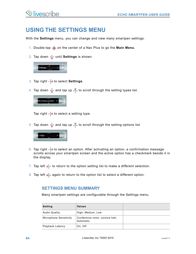# **USING THE SETTINGS MENU**

With the **Settings** menu, you can change and view many smartpen settings.

- 1. Double-tap  $\bigcirc$  on the center of a Nav Plus to go the **Main Menu**.
- 2. Tap down  $\frac{1}{6}$  until **Settings** is shown.



- 3. Tap right  $\frac{1}{2}$  to select **Settings**.
- 4. Tap down  $\frac{1}{\omega}$  and tap up  $\frac{\phi}{\omega}$  to scroll through the setting types list.



Tap right  $\frac{1}{2}$  to select a setting type.

5. Tap down  $\frac{1}{\sqrt{6}}$  and tap up  $\frac{9}{11}$  to scroll through the setting options list.



- 6. Tap right  $\frac{1}{2}$  to select an option. After activating an option, a confirmation message scrolls across your smartpen screen and the active option has a checkmark beside it in the display.
- 7. Tap left  $\frac{1}{\sqrt{2}}$  to return to the option setting list to make a different selection.
- 8. Tap left  $\bigcirc$  again to return to the option list to select a different option.

## **SETTINGS MENU SUMMARY**

Many smartpen settings are configurable through the Settings menu.

| <b>Setting</b>         | <b>Values</b>                               |  |
|------------------------|---------------------------------------------|--|
| <b>Audio Quality</b>   | High, Medium, Low                           |  |
| Microphone Sensitivity | Conference room, Lecture hall,<br>Automatic |  |
| Playback Latency       | On, Off                                     |  |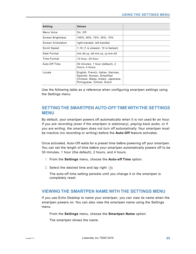| Setting                  | <b>Values</b>                                                                                                                       |  |
|--------------------------|-------------------------------------------------------------------------------------------------------------------------------------|--|
| Menu Voice               | On, Off                                                                                                                             |  |
| <b>Screen Brightness</b> | 100%, 90%, 75%, 50%, 10%                                                                                                            |  |
| Screen Orientation       | right-handed, left-handed                                                                                                           |  |
| Scroll Speed             | $1-10$ (1 is slowest, 10 is fastest)                                                                                                |  |
| Date Format              | mm.dd.yy, dd.mm.yy, yy.mm.dd                                                                                                        |  |
| Time Format              | 12-hour, 24-hour                                                                                                                    |  |
| Auto-Off Time            | 30 minutes, 1 hour (default), 2<br>hours, 4 hours                                                                                   |  |
| Locale                   | English, French, Italian, German,<br>Spanish, Korean, Simplified<br>Chinese, Malay, Arabic, Japanese,<br>Portuguese, Turkish, Dutch |  |

Use the following table as a reference when configuring smartpen settings using the Settings menu.

## **SETTING THE SMARTPEN AUTO-OFF TIME WITH THE SETTINGS MENU**

By default, your smartpen powers off automatically when it is not used for an hour. *If you are recording (even if the smartpen is stationary), playing back audio, or if you are writing, the smartpen does not turn off automatically.* Your smartpen must be inactive (no recording or writing) before the **Auto-Off** feature activates.

Once activated, Auto-Off waits for a preset time before powering off your smartpen. You can set the length of time before your smartpen automatically powers off to be 30 minutes, 1 hour (the default), 2 hours, and 4 hours.

- 1. From the **Settings** menu, choose the **Auto-off Time** option.
- 2. Select the desired time and tap right  $-\frac{1}{2}\Theta$ .

The auto-off time setting persists until you change it or the smartpen is completely reset.

## **VIEWING THE SMARTPEN NAME WITH THE SETTINGS MENU**

If you use Echo Desktop to name your smartpen, you can view its name when the smartpen powers on. You can also view the smartpen name using the Settings menu.

From the **Settings** menu, choose the **Smartpen Name** option.

The smartpen shows the name.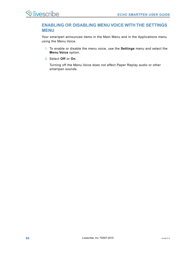## **ENABLING OR DISABLING MENU VOICE WITH THE SETTINGS MENU**

Your smartpen announces items in the Main Menu and in the Applications menu using the Menu Voice.

- 1. To enable or disable the menu voice, use the **Settings** menu and select the **Menu Voice** option.
- 2. Select **Off** or **On**.

Turning off the Menu Voice does not affect Paper Replay audio or other smartpen sounds.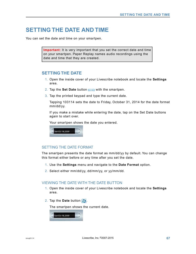# **SETTING THE DATE AND TIME**

You can set the date and time on your smartpen.

**Important:** It is very important that you set the correct date and time on your smartpen. Paper Replay names audio recordings using the date and time that they are created.

### **SETTING THE DATE**

- 1. Open the inside cover of your Livescribe notebook and locate the **Settings** area.
- 2. Tap the **Set Date** button (section **With** the smartpen.
- 3. Tap the printed keypad and type the current date.

Tapping 103114 sets the date to Friday, October 31, 2014 for the date format mm/dd/yy.

If you make a mistake while entering the date, tap on the Set Date buttons again to start over.

Your smartpen shows the date you entered.



#### SETTING THE DATE FORMAT

The smartpen presents the date format as mm/dd/yy by default. You can change this format either before or any time after you set the date.

- 1. Use the **Settings** menu and navigate to the **Date Format** option.
- 2. Select either mm/dd/yy, dd/mm/yy, or yy/mm/dd.

#### VIEWING THE DATE WITH THE DATE BUTTON

- 1. Open the inside cover of your Livescribe notebook and locate the **Settings** area.
- 2. Tap the **Date** button  $\sqrt{2}$ .

The smartpen shows the current date.

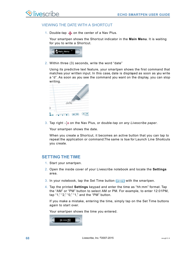#### VIEWING THE DATE WITH A SHORTCUT

1. Double-tap  $\bigoplus$  on the center of a Nav Plus.

Your smartpen shows the Shortcut indicator in the **Main Menu**. It is waiting for you to write a Shortcut.

| ain Menu |  |
|----------|--|
|          |  |

2. Within three (3) seconds, write the word "date"

Using its predictive text feature, your smartpen shows the first command that matches your written input. In this case, date is displayed as soon as you write a "d". As soon as you see the command you want on the display, you can stop writing.

|   | date                          |
|---|-------------------------------|
|   |                               |
| ö | $\frac{1}{2}$<br>$\mathbf{u}$ |

3. Tap right  $\frac{1}{2}$  on the Nav Plus, or double-tap *on any Livescribe paper*.

Your smartpen shows the date.

When you create a Shortcut, it becomes an active button that you can tap to repeat the application or command.The same is true for Launch Line Shortcuts you create.

## **SETTING THE TIME**

- 1. Start your smartpen.
- 2. Open the inside cover of your Livescribe notebook and locate the **Settings** area.
- 3. In your notebook, tap the Set Time button  $\left(\frac{1}{2} \cdot \frac{1}{2} \cdot \frac{1}{2} \cdot \frac{1}{2} \cdot \frac{1}{2} \cdot \frac{1}{2} \cdot \frac{1}{2} \cdot \frac{1}{2} \cdot \frac{1}{2} \cdot \frac{1}{2} \cdot \frac{1}{2} \cdot \frac{1}{2} \cdot \frac{1}{2} \cdot \frac{1}{2} \cdot \frac{1}{2} \cdot \frac{1}{2} \cdot \frac{1}{2} \cdot \frac{1}{2} \cdot \frac{1}{2} \cdot \frac$
- 4. Tap the printed **Settings** keypad and enter the time as "hh:mm" format. Tap the "AM" or "PM" button to select AM or PM. For example, to enter 12:01PM, tap "1," "2," "0," "1," and the "PM" button.

If you make a mistake, entering the time, simply tap on the Set Time buttons again to start over.

Your smartpen shows the time you entered.

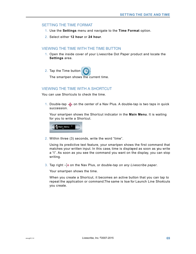#### SETTING THE TIME FORMAT

- 1. Use the **Settings** menu and navigate to the **Time Format** option.
- 2. Select either **12 hour** or **24 hour**.

#### VIEWING THE TIME WITH THE TIME BUTTON

- 1. Open the inside cover of your Livescribe Dot Paper product and locate the **Settings** area.
- 2. Tap the Time button

The smartpen shows the current time.

### VIEWING THE TIME WITH A SHORTCUT

You can use Shortcuts to check the time.

1. Double-tap  $\hat{\Phi}$  on the center of a Nav Plus. A double-tap is two taps in quick succession.

Your smartpen shows the Shortcut indicator in the **Main Menu**. It is waiting for you to write a Shortcut.



2. Within three (3) seconds, write the word "time".

Using its predictive text feature, your smartpen shows the first command that matches your written input. In this case, time is displayed as soon as you write a "t". As soon as you see the command you want on the display, you can stop writing.

3. Tap right  $\frac{1}{2}$  on the Nav Plus, or double-tap *on any Livescribe paper*.

Your smartpen shows the time.

When you create a Shortcut, it becomes an active button that you can tap to repeat the application or command.The same is true for Launch Line Shortcuts you create.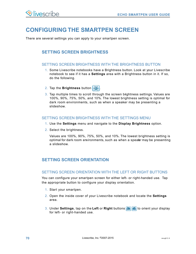# **CONFIGURING THE SMARTPEN SCREEN**

There are several settings you can apply to your smartpen screen.

# **SETTING SCREEN BRIGHTNESS**

#### SETTING SCREEN BRIGHTNESS WITH THE BRIGHTNESS BUTTON

- 1. Some Livescribe notebooks have a Brightness button. Look at your Livescribe notebook to see if it has a **Settings** area with a Brightness button in it. If so, do the following.
- 2. Tap the **Brightness** button  $\frac{1}{2}$ .
- 3. Tap multiple times to scroll through the screen brightness settings. Values are 100%, 90%, 75%, 50%, and 10%. The lowest brightness setting is optimal for dark room environments, such as when a speaker may be presenting a slideshow.

#### SETTING SCREEN BRIGHTNESS WITH THE SETTINGS MENU

- 1. Use the **Settings** menu and navigate to the **Display Brightness** option.
- 2. Select the brightness.

Values are 100%, 90%, 75%, 50%, and 10%. The lowest brightness setting is optimal for dark room environments, such as when a speaker may be presenting a slideshow.

## **SETTING SCREEN ORIENTATION**

#### SETTING SCREEN ORIENTATION WITH THE LEFT OR RIGHT BUTTONS

You can configure your smartpen screen for either left- or right-handed use. Tap the appropriate button to configure your display orientation.

- 1. Start your smartpen.
- 2. Open the inside cover of your Livescribe notebook and locate the **Settings** area.
- 3. Under **Settings**, tap on the **Left** or **Right** buttons to orient your display for left- or right-handed use.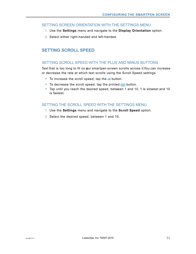#### SETTING SCREEN ORIENTATION WITH THE SETTINGS MENU

- 1. Use the **Settings** menu and navigate to the **Display Orientation** option.
- 2. Select either right-handed and left-handed.

## **SETTING SCROLL SPEED**

#### SETTING SCROLL SPEED WITH THE PLUS AND MINUS BUTTONS

Text that is too long to fit on gur smartpen screen scrolls across it.You can increase or decrease the rate at which text scrolls using the Scroll Speed settings.

- To increase the scroll speed, tap the **+** button.
- To decrease the scroll speed, tap the printed  $\Box$  button.
- **•** Tap until you reach the desired speed, between 1 and 10. 1 is slowest and 10 is fastest.

## SETTING THE SCROLL SPEED WITH THE SETTINGS MENU

- 1. Use the **Settings** menu and navigate to the **Scroll Speed** option.
- 2. Select the desired speed, between 1 and 10.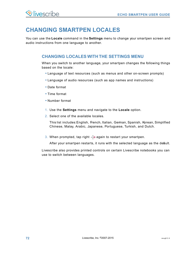# **CHANGING SMARTPEN LOCALES**

You can use the **Locale** command in the **Settings** menu to change your smartpen screen and audio instructions from one language to another.

## **CHANGING LOCALES WITH THE SETTINGS MENU**

When you switch to another language, your smartpen changes the following things based on the locale:

- **•** Language of text resources (such as menus and other on-screen prompts)
- **•** Language of audio resources (such as app names and instructions)
- **•** Date format
- **•** Time format
- **•** Number format
- 1. Use the **Settings** menu and navigate to the **Locale** option.
- 2. Select one of the available locales.

This list includes: English, French, Italian, German, Spanish, Korean, Simplified Chinese, Malay, Arabic, Japanese, Portuguese, Turkish, and Dutch.

3. When prompted, tap right  $\frac{1}{2}$  again to restart your smartpen.

After your smartpen restarts, it runs with the selected language as the deault.

Livescribe also provides printed controls on certain Livescribe notebooks you can use to switch between languages.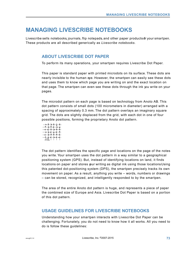# **MANAGING LIVESCRIBE NOTEBOOKS**

Livescribe sells notebooks, journals, flip notepads, and other paper products of your smartpen. These products are all described generically as *Livescribe notebooks*.

# **ABOUT LIVESCRIBE DOT PAPER**

To perform its many operations, your smartpen requires Livescribe Dot Paper.

This paper is standard paper with printed microdots on its surface. These dots are nearly invisible to the human eye. However, the smartpen can easily see these dots and uses them to know which page you are writing on and the exact location on that page. The smartpen can even see these dots through the ink you write on your pages.

The microdot pattern on each page is based on technology from Anoto AB. This dot pattern consists of small dots (100 micrometers in diameter) arranged with a spacing of approximately 0.3 mm. The dot pattern overlays an imaginary square grid. The dots are slightly displaced from the grid, with each dot in one of four possible positions, forming the proprietary Anoto dot pattern.



The dot pattern identifies the specific page and locations on the page of the notes you write. Your smartpen uses the dot pattern in a way similar to a geographical positioning system (GPS). But, instead of identifying locations on land, it finds locations on paper and stores your writing as digital ink using those locations Using this patented dot-positioning system (DPS), the smartpen precisely tracks its own movement on paper. As a result, anything you write – words, numbers or drawings – can be stored, recognized, and intelligently responded to by the smartpen.

The area of the entire Anoto dot pattern is huge, and represents a piece of paper the combined size of Europe and Asia. Livescribe Dot Paper is based on a portion of this dot pattern.

# **USAGE GUIDELINES FOR LIVESCRIBE NOTEBOOKS**

Understanding how your smartpen interacts with Livescribe Dot Paper can be challenging. Fortunately, you do not need to know how it all works. All you need to do is follow these guidelines: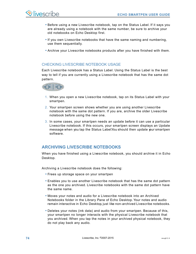- **•** Before using a new Livescribe notebook, tap on the Status Label. If it says you are already using a notebook with the same number, be sure to archive your old notebooks on Echo Desktop first.
- **•** If you own Livescribe notebooks that have the same naming and numbering, use them sequentially.
- **•** Archive your Livescribe notebooks products after you have finished with them.

## CHECKING LIVESCRIBE NOTEBOOK USAGE

Each Livescribe notebook has a Status Label. Using the Status Label is the best way to tell if you are currently using a Livescribe notebook that has the same dot pattern.



- 1. When you open a new Livescribe notebook, tap on its Status Label with your smartpen.
- 2. Your smartpen screen shows whether you are using another Livescribe notebook with the same dot pattern. If you are, archive the older Livescribe notebook before using the new one.
- 3. In some cases, your smartpen needs an update before it can use a particular Livescribe notebook. If this occurs, your smartpen screen displays an Update message when you tap the Status Label.You should then update your smartpen software.

# **ARCHIVING LIVESCRIBE NOTEBOOKS**

When you have finished using a Livescribe notebook, you should archive it in Echo Desktop.

Archiving a Livescribe notebook does the following:

- **•** Frees up storage space on your smartpen
- **•** Enables you to use another Livescribe notebook that has the same dot pattern as the one you archived. Livescribe notebooks with the same dot pattern have the same name.
- **•** Moves your notes and audio for a Livescribe notebook into an Archived Notebooks folder in the Library Pane of Echo Desktop. Your notes and audio remain interactive in Echo Desktop, just like non-archived Livescribe notebooks.
- **•** Deletes your notes (ink data) and audio from your smartpen. Because of this, your smartpen no longer interacts with the physical Livescribe notebook that you archived. When you tap the notes in your archived physical notebook, they do not play back any audio.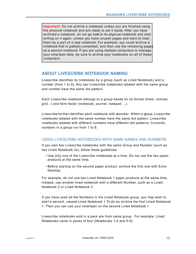**Important:** Do not archive a notebook unless you are finished using the physical notebook and are ready to set it aside. After you have archived a notebook, do not go back to its physical notebook and start writing on it again, unless you have unused pages and want to treat them as a part of a new notebook. For example, you could archive a notebook that is partially completed, and then use the remaining pages as a second notebook. If you are using multiple computers to manage your smartpen data, be sure to archive your notebooks on all of these computers.

# **ABOUT LIVESCRIBE NOTEBOOK NAMING**

Livescribe identifies its notebooks by a group (such as Lined Notebook) and a number (from 1 to 8). Any two Livescribe notebooks labeled with the same group and number have the same dot pattern.

Each Livescribe notebook belongs to a *group* based on its format (lined, unlined, grid...) and form factor (notebook, journal, notepad …).

Livescribe further identifies each notebook with *anumber*. Within a group, Livescribe notebooks labeled with the same number have the same dot pattern. Livescribe notebooks labeled with different numbers have different dot patterns. Currently, numbers in a group run from 1 to 8.

# USING LIVESCRIBE NOTEBOOKS WITH SAME NAMES AND NUMBERS

If you own two Livescribe notebooks with the same Group and Number (such as two Lined Notebook 3s), follow these guidelines:

- **•** Use only one of the Livescribe notebooks at a time. Do not use the two paper products at the same time.
- **•** Before starting on the second paper product, archive the first one with Echo Desktop.

For example, do not use two Lined Notebook 1 paper products at the same time. Instead, use another lined notebook with a different Number, such as a Lined Notebook 2 or Lined Notebook 3.

If you have used all the Numbers in the Lined Notebook group, you may wish to start a second, unused Lined Notebook 1.To do so, archive the first Lined Notebook 1. Then you can use your smartpen on the second Lined Notebook 1.

Livescribe notebooks sold in a pack are from same group. For example, Lined Notebooks come in packs of four (Notebooks 1-4 and 5-8).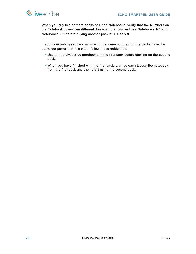When you buy two or more packs of Lined Notebooks, verify that the Numbers on the Notebook covers are different. For example, buy and use Notebooks 1-4 and Notebooks 5-8 before buying another pack of 1-4 or 5-8.

If you have purchased two packs with the same numbering, the packs have the same dot pattern. In this case, follow these guidelines:

- **•** Use all the Livescribe notebooks in the first pack before starting on the second pack.
- **•** When you have finished with the first pack, archive each Livescribe notebook from the first pack and then start using the second pack.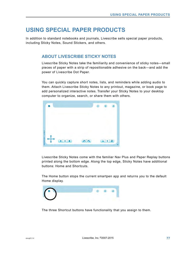# **USING SPECIAL PAPER PRODUCTS**

In addition to standard notebooks and journals, Livescribe sells special paper products, including Sticky Notes, Sound Stickers, and others.

# **ABOUT LIVESCRIBE STICKY NOTES**

Livescribe Sticky Notes take the familiarity and convenience of sticky notes—small pieces of paper with a strip of repositionable adhesive on the back—and add the power of Livescribe Dot Paper.

You can quickly capture short notes, lists, and reminders while adding audio to them. Attach Livescribe Sticky Notes to any printout, magazine, or book page to add personalized interactive notes. Transfer your Sticky Notes to your desktop computer to organize, search, or share them with others.



Livescribe Sticky Notes come with the familiar Nav Plus and Paper Replay buttons printed along the bottom edge. Along the top edge, Sticky Notes have additional buttons: Home and Shortcuts.

The Home button stops the current smartpen app and returns you to the default Home display.



The three Shortcut buttons have functionality that you assign to them.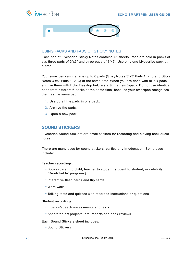



#### USING PACKS AND PADS OF STICKY NOTES

Each pad of Livescribe Sticky Notes contains 75 sheets. Pads are sold in packs of six: three pads of 3"x3" and three pads of 3"x5". Use only one Livescribe pack at a time.

Your smartpen can manage up to 6 pads (Sticky Notes 3"x3" Pads 1, 2, 3 and Sticky Notes 3"x5" Pads 1, 2, 3) at the same time. When you are done with all six pads, archive them with Echo Desktop before starting a new 6-pack. Do not use identical pads from different 6-packs at the same time, because your smartpen recognizes them as the same pad.

- 1. Use up all the pads in one pack.
- 2. Archive the pads.
- 3. Open a new pack.

# **SOUND STICKERS**

Livescribe Sound Stickers are small stickers for recording and playing back audio notes.

There are many uses for sound stickers, particularly in education. Some uses include:

Teacher recordings:

- **•** Books (parent to child, teacher to student, student to student, or celebrity "Read-To-Me" programs)
- **•** Interactive flash cards and flip cards
- **•** Word walls
- **•** Talking tests and quizzes with recorded instructions or questions

Student recordings:

- **•** Fluency/speech assessments and tests
- **•** Annotated art projects, oral reports and book reviews

Each Sound Stickers sheet includes:

**•** Sound Stickers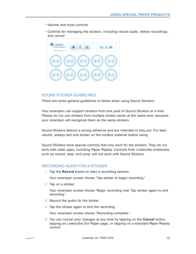- **•** Volume and mute controls
- **•** Controls for managing the stickers, including record audio, delete recordings, and cancel.



#### SOUND STICKER GUIDELINES

There are some general guidelines to follow when using Sound Stickers.

Your smartpen can support stickers from one pack of Sound Stickers at a time. Please do not use stickers from multiple sticker packs at the same time, because your smartpen will recognize them as the same stickers.

Sound Stickers feature a strong adhesive and are intended to stay put. For best results, always test one sticker on the surface material before using.

Sound Stickers have special controls that only work for the stickers. They do not work with other apps, including Paper Replay. Controls from Livescribe notebooks, such as record, stop, and jump, will not work with Sound Stickers.

#### RECORDING AUDIO FOR A STICKER

1. Tap the **Record** button to start a recording session.

Your smartpen screen shows "Tap sticker to begin recording."

2. Tap on a sticker.

Your smartpen screen shows "Begin recording now. Tap sticker again to end recording."

- 3. Record the audio for the sticker.
- 4. Tap the sticker again to end the recording.

Your smartpen screen shows "Recording complete."

5. You can cancel your changes at any time by tapping on the **Cancel** button, tapping on Livescribe Dot Paper page, or tapping on a standard Paper Replay control.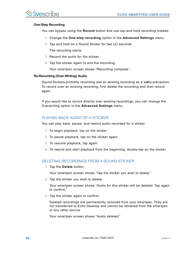#### **One-Step Recording**

You can bypass using the **Record** button and use tap-and-hold recording instead.

- 1. Change the **One-step recording** option in the **Advanced Settings** menu.
- 2. Tap and hold on a Sound Sticker for two (2) seconds.

The recording starts.

- 3. Record the audio for the sticker.
- 4. Tap the sticker again to end the recording.

Your smartpen screen shows "Recording complete."

#### **Re-Recording (Over-Writing) Audio**

Sound Stickers prohibits recording over an existing recording as a safety precaution. To record over an existing recording, first delete the recording and then record again.

If you would like to record directly over existing recordings, you can change the Overwriting option in the **Advanced Settings** menu.

## PLAYING BACK AUDIO OF A STICKER

You can play back, pause, and rewind audio recorded for a sticker.

- 1. To begin playback, tap on the sticker.
- 2. To pause playback, tap on the sticker again.
- 3. To resume playback, tap again.
- 4. To rewind and start playback from the beginning, double-tap on the sticker.

# DELETING RECORDINGS FROM A SOUND STICKER

1. Tap the **Delete** button.

Your smartpen screen shows "Tap the sticker you wish to delete."

2. Tap the sticker you wish to delete.

Your smartpen screen shows "Audio for this sticker will be deleted. Tap again to confirm."

3. Tap the sticker again to confirm.

Deleted recordings are permanently removed from your smartpen. They are not transferred to Echo Desktop and cannot be retrieved from the smartpen or any other source.

Your smartpen screen shows "Audio deleted."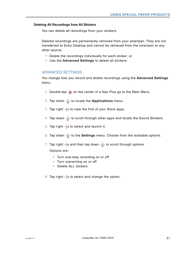#### **Deleting All Recordings from All Stickers**

You can delete all recordings from your stickers.

Deleted recordings are permanently removed from your smartpen. They are not transferred to Echo Desktop and cannot be retrieved from the smartpen or any other source.

- **•** Delete the recordings individually for each sticker, or
- **•** Use the **Advanced Settings** to delete all stickers.

## ADVANCED SETTINGS

You change how you record and delete recordings using the **Advanced Settings** menu.

- 1. Double-tap  $\bigoplus$  on the center of a Nav Plus go to the Main Menu.
- 2. Tap down  $\frac{1}{\phi}$  to locate the **Applications** menu.
- 3. Tap right  $\frac{1}{2}$  to view the first of your Store apps.
- 4. Tap down  $\frac{1}{\sqrt{6}}$  to scroll through other apps and locate the Sound Stickers.
- 5. Tap right  $\frac{1}{2}$  to select and launch it.
- 6. Tap down  $\frac{1}{6}$  to the **Settings** menu. Choose from the available options.
- 7. Tap right  $-\frac{1}{2}$  and then tap down  $-\frac{1}{4}$  to scroll through options.

Options are:

- **•** Turn one-step recording on or off
- **•** Turn overwriting on or off
- **•** Delete ALL stickers
- 8. Tap right  $\frac{1}{2}$  to select and change the option.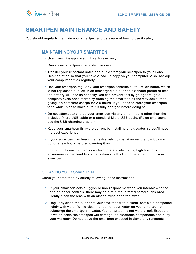# **SMARTPEN MAINTENANCE AND SAFETY**

You should regularly maintain your smartpen and be aware of how to use it safely.

# **MAINTAINING YOUR SMARTPEN**

- **•** Use Livescribe-approved ink cartridges only.
- **•** Carry your smartpen in a protective case.
- **•** Transfer your important notes and audio from your smartpen to your Echo Desktop often so that you have a backup copy on your computer. Also, backup your computer's files regularly.
- **•** Use your smartpen regularly. Your smartpen contains a lithium-ion battery which is not replaceable. If left in an uncharged state for an extended period of time, the battery will lose its capacity. You can prevent this by going through a complete cycle each month by draining the smartpen all the way down, then giving it a complete charge for 2.5 hours. If you need to store your smartpen for a while, please make sure it's fully charged before doing so.
- **•** Do not attempt to charge your smartpen via any other means other than the included Micro USB cable or a standard Micro USB cable. (Pulse smartpens use the USB charging cradle.)
- **•** Keep your smartpen firmware current by installing any updates so you'll have the best experience.
- **•** If your smartpen has been in an extremely cold environment, allow it to warm up for a few hours before powering it on.
- **•** Low humidity environments can lead to static electricity; high humidity environments can lead to condensation - both of which are harmful to your smartpen.

# CLEANING YOUR SMARTPEN

Clean your smartpen by strictly following these instructions.

- 1. If your smartpen acts sluggish or non-responsive when you interact with the printed paper controls, there may be dirt in the infrared camera lens area. Gently clean the lens with an alcohol wipe or cotton swab.
- 2. Regularly clean the exterior of your smartpen with a clean, soft cloth dampened lightly with water. While cleaning, do not pour water on your smartpen or submerge the smartpen in water. Your smartpen is not waterproof. Exposure to water inside the smartpen will damage the electronic components and nullify your warranty. Do not leave the smartpen exposed in damp environments.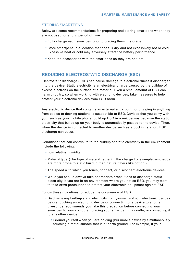# STORING SMARTPENS

Below are some recommendations for preparing and storing smartpens when they are not used for a long period of time.

- **•** Fully charge each smartpen prior to placing them in storage.
- **•** Store smartpens in a location that does is dry and not excessively hot or cold. Excessive heat or cold may adversely affect the battery performance.
- **•** Keep the accessories with the smartpens so they are not lost.

# **REDUCING ELECTROSTATIC DISCHARGE (ESD)**

Electrostatic discharge (ESD) can cause damage to electronic deices if discharged into the device. Static electricity is an electrical charge caused by the buildup of excess electrons on the surface of a material. Even a small amount of ESD can harm circuitry, so when working with electronic devices, take measures to help protect your electronic devices from ESD harm.

Any electronic device that contains an external entry point for plugging in anything from cables to docking stations is susceptible to ESD. Devices that you carry with you, such as your mobile phone, build up ESD in a unique way because the static electricity that builds up on your body is automatically passed to the device. Then, when the device is connected to another device such as a docking station, ESD discharge can occur.

Conditions that can contribute to the buildup of static electricity in the environment include the following:

- **•** Low relative humidity.
- Material type. (The type of materal gathering the charge For example, synthetics are more prone to static buildup than natural fibers like cotton.)
- **•** The speed with which you touch, connect, or disconnect electronic devices.
- **•** While you should always take appropriate precautions to discharge static electricity, if you are in an environment where you notice ESD, you may want to take extra precautions to protect your electronic equipment against ESD.

Follow these guidelines to reduce the occurrence of ESD:

- **•** Discharge any built-up static electricity from yourself and your electronic devices before touching an electronic device or connecting one device to another. Livescribe recommends you take this precaution before connecting your smartpen to your computer, placing your smartpen in a cradle, or connecting it to any other device.
	- **•** Ground yourself when you are holding your mobile device by simultaneously touching a metal surface that is at earth ground. For example, if your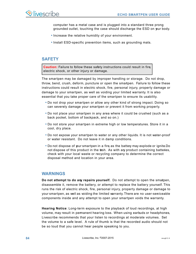computer has a metal case and is plugged into a standard three prong grounded outlet, touching the case should discharge the ESD on your body.

- **•** Increase the relative humidity of your environment.
- **•** Install ESD-specific prevention items, such as grounding mats.

# **SAFETY**

**Caution:** Failure to follow these safety instructions could result in fire, electric shock, or other injury or damage.

The smartpen may be damaged by improper handling or storage. Do not drop, throw, bend, crush, deform, puncture or open the smartpen. Failure to follow these instructions could result in electric shock, fire, personal injury, property damage or damage to your smartpen, as well as voiding your limited warranty. It is also essential that you take proper care of the smartpen to ensure its usability.

- **•** Do not drop your smartpen or allow any other kind of strong impact. Doing so can severely damage your smartpen or prevent it from working properly.
- **•** Do not place your smartpen in any area where it could be crushed (such as a back pocket, bottom of backpack, and so on.)
- **•** Do not store your smartpen in extreme high or low temperatures. Store it in a cool, dry place.
- **•** Do not expose your smartpen to water or any other liquids. It is not water-proof or water resistant. Do not leave it in damp conditions.
- **•** Do not dispose of your smartpen in a fire, as the battery may explode or ignite.Do not dispose of this product in the ush. As with any product containing batteries, check with your local waste or recycling company to determine the correct disposal method and location in your area.

# **WARNINGS**

**Do not attempt to do any repairs yourself.** Do not attempt to open the smatpen, disassemble it, remove the battery, or attempt to replace the battery yourself. This runs the risk of electric shock, fire, personal injury, property damage or damage to your smartpen, as well as voiding the limited warranty. There are no user-serviceable components inside and any attempt to open your smartpen voids the warranty.

**Hearing Notice**: Long-term exposure to the playback of loud recordings, at high volume, may result in permanent hearing loss. When using earbuds or headphones, Livescribe recommends that your listen to recordings at moderate volumes. Set the volume to a safe level. A rule of thumb is that the recorded audio should not be so loud that you cannot hear people speaking to you.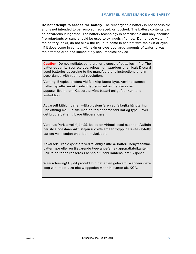**Do not attempt to access the battery**. The rechargeable battery is not accessible and is not intended to be removed, replaced, or touched. The battery contents can be hazardous if ingested. The battery technology is combustible and only chemical fire retardants or sand should be used to extinguish flames. Do not use water. If the battery leaks, do not allow the liquid to come in contact with the skin or eyes. If it does come in contact with skin or eyes use large amounts of water to wash the affected area and immediately seek medical advice.

**Caution:** Do not mutilate, puncture, or dispose of batteries in fire. The batteries can burst or explode, releasing hazardous chemicals. Discard used batteries according to the manufacturer's instructions and in accordance with your local regulations.

Varning: Eksplosionsfara vid felaktigt batteribyte. Använd samma batterityp eller en ekvivalent typ som. rekommenderas av apparattillverkaren. Kassera använt batteri enligt fabrikan-tens instruktion.

Advarsel! Lithiumbatteri—Eksplosionsfare ved fejlagtig håndtering. Udskiftning må kun ske med batteri af same fabrikat og type. Levér det brugte batteri tilbage tilleverandøren.

Varoitus: Paristo voi räjähtää, jos se on virheellisesti asennettuVaihda paristo ainoastaan valmistajan suosittelemaan tyyppiin. Hävitä käytetty paristo valmistajan ohje-iden mukaisesti.

Advarsel: Eksplosjonsfare ved feilaktig skifte av batteri. Benytt samme batteritype eller en tilsvarende type anbefait av apparatfabrikanten. Brukte batterier kasseres i henhold til fabrikantens instruksjoner.

Waarschuwing! Bij dit produkt zijn batterijen geleverd. Wanneer deze leeg zijn, moet u ze niet weggooien maar inleveren als KCA.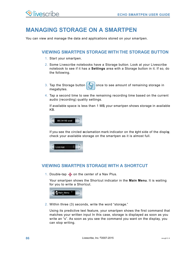# **MANAGING STORAGE ON A SMARTPEN**

You can view and manage the data and applications stored on your smartpen.

# **VIEWING SMARTPEN STORAGE WITH THE STORAGE BUTTON**

- 1. Start your smartpen.
- 2. Some Livescribe notebooks have a Storage button. Look at your Livescribe notebook to see if it has a **Settings** area with a Storage button in it. If so, do the following.
- 3. Tap the Storage button  $\sqrt{\frac{2}{\pi k}}$  once to see amount of remaining storage in megabytes.
- 4. Tap a second time to see the remaining recording time based on the current audio (recording) quality settings.

If available space is less than 1 MB, your smartpen shows storage in available KB.



If you see the circled exclamation mark indicator on the right side of the display, check your available storage on the smartpen as it is almost full.



# **VIEWING SMARTPEN STORAGE WITH A SHORTCUT**

1. Double-tap  $\bigoplus$  on the center of a Nav Plus.

Your smartpen shows the Shortcut indicator in the **Main Menu**. It is waiting for you to write a Shortcut.



2. Within three (3) seconds, write the word "storage."

Using its predictive text feature, your smartpen shows the first command that matches your written input In this case, storage is displayed as soon as you write an "s". As soon as you see the command you want on the display, you can stop writing.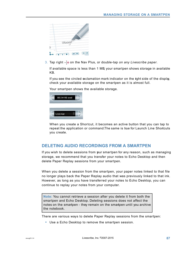

3. Tap right  $\frac{1}{2}$  on the Nav Plus, or double-tap *on any Livescribe paper*.

If available space is less than 1 MB, your smartpen shows storage in available KB.

If you see the circled exclamation mark indicator on the right side of the display, check your available storage on the smartpen as it is almost full.

Your smartpen shows the available storage.



When you create a Shortcut, it becomes an active button that you can tap to repeat the application or command.The same is true for Launch Line Shortcuts you create.

# **DELETING AUDIO RECORDINGS FROM A SMARTPEN**

If you wish to delete sessions from your smartpen for any reason, such as managing storage, we recommend that you transfer your notes to Echo Desktop and then delete Paper Replay sessions from your smartpen.

When you delete a session from the smartpen, your paper notes linked to that file no longer plays back the Paper Replay audio that was previously linked to that ink. However, as long as you have transferred your notes to Echo Desktop, you can continue to replay your notes from your computer.

**Note:** You cannot retrieve a session after you delete it from both the smartpen and Echo Desktop. Deleting sessions does not affect the notes on the smartpen - they remain on the smartpen until you archive the notebook.

There are various ways to delete Paper Replay sessions from the smartpen:

**•** Use a Echo Desktop to remove the smartpen session.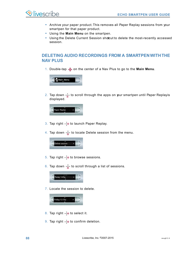

- **•** Archive your paper product. This removes all Paper Replay sessions from your smartpen for that paper product.
- **•** Using the **Main Menu** on the smartpen.
- Using the Delete Current Session shotcut to delete the most-recently accessed session.

# **DELETING AUDIO RECORDINGS FROM A SMARTPEN WITH THE NAV PLUS**

1. Double-tap  $\hat{\Phi}$  on the center of a Nav Plus to go to the Main Menu.



2. Tap down  $\frac{1}{4}$  to scroll through the apps on your smartpen until Paper Replayis displayed.



- 3. Tap right  $\frac{1}{2}$  to launch Paper Replay.
- 4. Tap down  $\frac{1}{\theta}$  to locate Delete session from the menu.



- 5. Tap right  $\frac{1}{2}$  to browse sessions.
- 6. Tap down  $\frac{1}{6}$  to scroll through a list of sessions.



7. Locate the session to delete.



- 8. Tap right  $\frac{1}{x}$  to select it.
- 9. Tap right  $\frac{1}{2}$  to confirm deletion.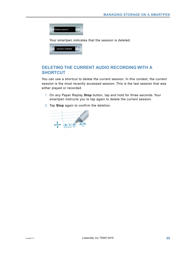

Your smartpen indicates that the session is deleted.



# **DELETING THE CURRENT AUDIO RECORDING WITH A SHORTCUT**

You can use a shortcut to delete the current session. In this context, the current session is the most recently accessed session. This is the last session that was either played or recorded.

- 1. On any Paper Replay **Stop** button, tap and hold for three seconds. Your smartpen instructs you to tap again to delete the current session.
- 2. Tap **Stop** again to confirm the deletion.

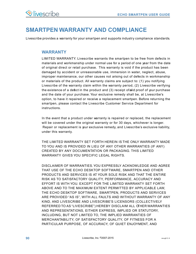# **SMARTPEN WARRANTY AND COMPLIANCE**

Livescribe provides a warranty for your smartpen and supports industry compliance standards.

# **WARRANTY**

LIMITED WARRANTY. Livescribe warrants the smartpen to be free from defects in materials and workmanship under normal use for a period of one year from the date of original direct or retail purchase. This warranty is void if the product has been damaged by accident or unreasonable use, immersion in water, neglect, abuse, improper maintenance, our other causes not arising out of defects in workmanship or materials of the product. All warranty claims are subject to: (1) you notifying Livescribe of the warranty claim within the warranty period, (2) Livescribe verifying the existence of a defect in the product and (3) receipt of alid proof of your purchase and the date of your purchase. Your exclusive remedy shall be, at Livescribe's option, to have it repaired or receive a replacement smartpen. Before returning the smartpen, please contact the Livescribe Customer Service Department for instructions.

In the event that a product under warranty is repaired or replaced, the replacement will be covered under the original warranty or for 30 days, whichever is longer. Repair or replacement is your exclusive remedy, and Livescribe's exclusive liability, under this warranty.

THE LIMITED WARRANTY SET FORTH HEREIN IS THE ONLY WARRANTY MADE TO YOU AND IS PROVIDED IN LIEU OF ANY OTHER WARRANTIES (IF ANY) CREATED BY ANY DOCUMENTATION OR PACKAGING. THIS LIMITED WARRANTY GIVES YOU SPECIFIC LEGAL RIGHTS.

DISCLAIMER OF WARRANTIES. YOU EXPRESSLY ACKNOWLEDGE AND AGREE THAT USE OF THE ECHO DESKTOP SOFTWARE, SMARTPEN AND OTHER PRODUCTS AND SERVICES IS AT YOUR SOLE RISK AND THAT THE ENTIRE RISK AS TO SATISFACTORY QUALITY, PERFORMANCE, ACCURACY AND EFFORT IS WITH YOU. EXCEPT FOR THE LIMITED WARRANTY SET FORTH ABOVE AND TO THE MAXIMUM EXTENT PERMITTED BY APPLICABLE LAW, THE ECHO DESKTOP SOFTWARE, SMARTPEN, PRODUCTS AND SERVICES ARE PROVIDED "AS IS", WITH ALL FAULTS AND WITHOUT WARRANTY OF ANY KIND, AND LIVESCRIBE AND LIVESCRIBE'S LICENSORS (COLLECTIVELY REFERRED TO AS "LIVESCRIBE") HEREBY DISCLAIM ALL OTHER WARRANTIES AND REPRESENTATIONS, EITHER EXPRESS, IMPLIED OR STATUTORY, INCLUDING, BUT NOT LIMITED TO, THE IMPLIED WARRANTIES OF MERCHANTABILITY, OF SATISFACTORY QUALITY, OF FITNESS FOR A PARTICULAR PURPOSE, OF ACCURACY, OF QUIET ENJOYMENT, AND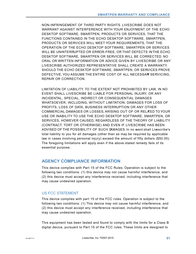NON-INFRINGEMENT OF THIRD PARTY RIGHTS. LIVESCRIBE DOES NOT WARRANT AGAINST INTERFERENCE WITH YOUR ENJOYMENT OF THE ECHO DESKTOP SOFTWARE, SMARTPEN, PRODUCTS OR SERVICES, THAT THE FUNCTIONS CONTAINED IN THE ECHO DESKTOP SOFTWARE, SMARTPEN, PRODUCTS OR SERVICES WILL MEET YOUR REQUIREMENTS, THAT THE OPERATION OF THE ECHO DESKTOP SOFTWARE, SMARTPEN OR SERVICES WILL BE UNINTERRUPTED OR ERROR-FREE, OR THAT DEFECTS IN THE ECHO DESKTOP SOFTWARE, SMARTPEN OR SERVICES WILL BE CORRECTED. NO ORAL OR WRITTEN INFORMATION OR ADVICE GIVEN BY LIVESCRIBE OR ANY LIVESCRIBE AUTHORIZED REPRESENTATIVE SHALL CREATE A WARRANTY. SHOULD THE ECHO DESKTOP SOFTWARE, SMARTPEN, OR SERVICES PROVE DEFECTIVE, YOU ASSUME THE ENTIRE COST OF ALL NECESSARY SERVICING, REPAIR OR CORRECTION.

LIMITATION OF LIABILITY. TO THE EXTENT NOT PROHIBITED BY LAW, IN NO EVENT SHALL LIVESCRIBE BE LIABLE FOR PERSONAL INJURY, OR ANY INCIDENTAL, SPECIAL, INDIRECT OR CONSEQUENTIAL DAMAGES WHATSOEVER, INCLUDING, WITHOUT LIMITATION, DAMAGES FOR LOSS OF PROFITS, LOSS OF DATA, BUSINESS INTERRUPTION OR ANY OTHER COMMERCIAL DAMAGES OR LOSSES, ARISING OUT OF OR RELATED TO YOUR USE OR INABILITY TO USE THE ECHO DESKTOP SOFTWARE, SMARTPEN, OR SERVICES, HOWEVER CAUSED, REGARDLESS OF THE THEORY OF LIABILITY (CONTRACT, TORT OR OTHERWISE) AND EVEN IF LIVESCRIBE HAS BEEN ADVISED OF THE POSSIBILITY OF SUCH DAMAGES. In no event shall Livescribe's total liability to you for all damages (other than as may be required by applicable law in cases involving personal injury) exceed the amount of fifty dollars (\$50.00). The foregoing limitations will apply even if the above stated remedy fails of its essential purpose.

# **AGENCY COMPLIANCE INFORMATION**

This device complies with Part 15 of the FCC Rules. Operation is subject to the following two conditions: (1) this device may not cause harmful interference, and (2) this device must accept any interference received, including interference that may cause undesired operation.

# US FCC STATEMENT

This device complies with part 15 of the FCC rules. Operation is subject to the following two conditions: (1) This device may not cause harmful interference, and (2) this device must accept any interference received, including interference that may cause undesired operation.

This equipment has been tested and found to comply with the limits for a Class B digital device, pursuant to Part 15 of the FCC rules. These limits are designed to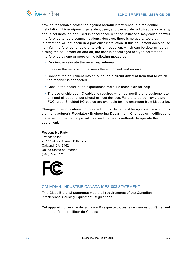provide reasonable protection against harmful interference in a residential installation. This equipment generates, uses, and can radiate radio frequency energy and, if not installed and used in accordance with the instrations, may cause harmful interference to radio communications. However, there is no guarantee that interference will not occur in a particular installation. If this equipment does cause harmful interference to radio or television reception, which can be determined by turning the equipment off and on, the user is encouraged to try to correct the interference by one or more of the following measures:

- **•** Reorient or relocate the receiving antenna.
- **•** Increase the separation between the equipment and receiver.
- **•** Connect the equipment into an outlet on a circuit different from that to which the receiver is connected.
- **•** Consult the dealer or an experienced radio/TV technician for help.
- **•** The use of shielded I/O cables is required when connecting this equipment to any and all optional peripheral or host devices. Failure to do so may violate FCC rules. Shielded I/O cables are available for the smartpen from Livescribe.

Changes or modifications not covered in this Guide must be approved in writing by the manufacturer's Regulatory Engineering Department. Changes or modifications made without written approval may void the user's authority to operate this equipment.

Responsible Party: Livescribe Inc 7677 Oakport Street, 12th Floor Oakland, CA 94621 United States of America (510) 777-0771



## CANADIAN, INDUSTRIE CANADA ICES-003 STATEMENT

This Class B digital apparatus meets all requirements of the Canadian Interference-Causing Equipment Regulations.

Cet appareil numérique de la classe B respecte toutes les aigences du Réglement sur le matériel brouilleur du Canada.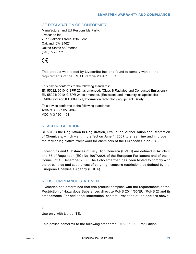#### CE DECLARATION OF CONFORMITY

Manufacturer and EU Responsible Party: Livescribe Inc 7677 Oakport Street, 12th Floor Oakland, CA 94621 United States of America (510) 777-0771

# $\epsilon$

This product was tested by Livescribe Inc. and found to comply with all the requirements of the EMC Directive 2004/108/EC.

This device conforms to the following standards: EN 55022: 2010; CISPR 22 as amended, (Class B Radiated and Conducted Emissions) EN 55024: 2010; CISPR 24 as amended, (Emissions and Immunity, as applicable) EN60950-1 and IEC 60950-1, Information technology equipment. Safety.

This device conforms to the following standards: AS/NZS CISPR22:2009 VCCI V-3 / 2011.04

#### REACH REGULATION

REACH is the Regulation for Registration, Evaluation, Authorisation and Restriction of Chemicals, which went into effect on June 1, 2007 to streamline and improve the former legislative framework for chemicals of the European Union (EU).

Thresholds and Substances of Very High Concern (SVHC) are defined in Article 7 and 57 of Regulation (EC) No 1907/2006 of the European Parliament and of the Council of 18 December 2006. The Echo smartpen has been tested to comply with the thresholds and substances of very high concern restrictions as defined by the European Chemicals Agency (ECHA).

## ROHS COMPLIANCE STATEMENT

Livescribe has determined that this product complies with the requirements of the Restriction of Hazardous Substances directive RoHS 2011/65/EU (RoHS 2) and its amendments. For additional information, contact Livescribe at the address above.

#### UL

Use only with Listed ITE.

This device conforms to the following standards: UL60950-1, First Edition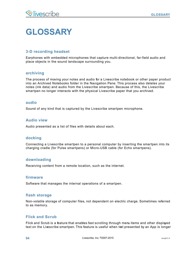# **GLOSSARY**

# **3-D recording headset**

Earphones with embedded microphones that capture multi-directional, far-field audio and place objects in the sound landscape surrounding you.

#### **archiving**

The process of moving your notes and audio for a Livescribe notebook or other paper product into an Archived Notebooks folder in the Navigation Pane. This process also deletes your notes (ink data) and audio from the Livescribe smartpen. Because of this, the Livescribe smartpen no longer interacts with the physical Livescribe paper that you archived.

#### **audio**

Sound of any kind that is captured by the Livescribe smartpen microphone.

## **Audio view**

Audio presented as a list of files with details about each.

#### **docking**

Connecting a Livescribe smartpen to a personal computer by inserting the smartpen into its charging cradle (for Pulse smartpens) or Micro-USB cable (for Echo smartpens).

#### **downloading**

Receiving content from a remote location, such as the internet.

#### **firmware**

Software that manages the internal operations of a smartpen.

#### **flash storage**

Non-volatile storage of computer files, not dependent on electric charge. Sometimes referred to as memory.

## **Flick and Scrub**

Flick and Scrub is a feature that enables fast scrolling through menu items and other displayed text on the Livescribe smartpen. This feature is useful when text presented by an App is longer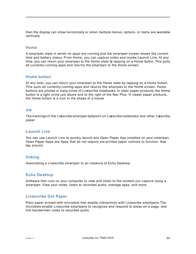than the display can show horizontally or when multiple menus, options, or items are available vertically.

## **Home**

A smartpen state in which no apps are running and the smartpen screen shows the current time and battery status. From Home, you can capture notes and invoke Launch Line. At any time, you can return your smartpen to the Home state by tapping on a Home button. This quits all currently-running apps and returns the smartpen to the Home screen.

## **Home button**

At any time, you can return your smartpen to the Home state by tapping on a Home button. This quits all currently-running apps and returns the smartpen to the Home screen. Home buttons are printed in many kinds of Livescribe notebooks. In older paper products, the Home button is a light circle just above and to the right of the Nav Plus. In newer paper products, the Home button is a icon in the shape of a house.

#### **ink**

The markings of the Livescribe smartpen ballpoint on Livescribe notebooks and other Livescribe paper.

## **Launch Line**

You can use Launch Line to quickly launch any Open Paper App installed on your smartpen. Open Paper Apps are Apps that do not require pre-printed paper controls to function. See tap around.

## **linking**

Associating a Livescribe smartpen to an instance of Echo Desktop.

## **Echo Desktop**

Software that runs on your computer to view and listen to the content you capture using a smartpen. View your notes, listen to recorded audio, manage apps, and more.

## **Livescribe Dot Paper**

Plain paper printed with microdots that enable interactivity with Livescribe smartpens.The microdots enable Livescribe smartpens to recognize and respond to areas on a page, and link handwritten notes to recorded audio.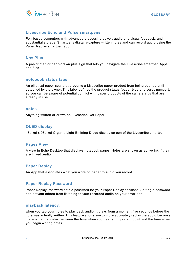## **Livescribe Echo and Pulse smartpens**

Pen-based computers with advanced processing power, audio and visual feedback, and substantial storage. Smartpens digitally-capture written notes and can record audio using the Paper Replay smartpen app.

#### **Nav Plus**

A pre-printed or hand-drawn plus sign that lets you navigate the Livescribe smartpen Apps and files.

#### **notebook status label**

An elliptical paper seal that prevents a Livescribe paper product from being opened until detached by the owner. This label defines the product status (paper type and series number), so you can be aware of potential conflict with paper products of the same status that are already in use.

#### **notes**

Anything written or drawn on Livescribe Dot Paper.

## **OLED display**

18pixel x 98pixel Organic Light Emitting Diode display screen of the Livescribe smartpen.

#### **Pages View**

A view in Echo Desktop that displays notebook pages. Notes are shown as active ink if they are linked audio.

## **Paper Replay**

An App that associates what you write on paper to audio you record.

## **Paper Replay Password**

Paper Replay Password sets a password for your Paper Replay sessions. Setting a password can prevent others from listening to your recorded audio on your smartpen.

#### **playback latency.**

when you tap your notes to play back audio, it plays from a moment five seconds before the note was actually written. This feature allows you to more accurately replay the audio because there is natural delay between the time when you hear an important point and the time when you begin writing notes.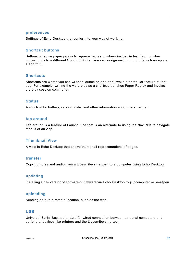#### **preferences**

Settings of Echo Desktop that conform to your way of working.

## **Shortcut buttons**

Buttons on some paper products represented as numbers inside circles. Each number corresponds to a different Shortcut Button. You can assign each button to launch an app or a shortcut.

#### **Shortcuts**

Shortcuts are words you can write to launch an app and invoke a particular feature of that app. For example, writing the word play as a shortcut launches Paper Replay and invokes the play session command.

#### **Status**

A shortcut for battery, version, date, and other information about the smartpen.

#### **tap around**

Tap around is a feature of Launch Line that is an alternate to using the Nav Plus to navigate menus of an App.

#### **Thumbnail View**

A view in Echo Desktop that shows thumbnail representations of pages.

#### **transfer**

Copying notes and audio from a Livescribe smartpen to a computer using Echo Desktop.

#### **updating**

Installing a new version of software or firmware via Echo Desktop to gur computer or smartpen.

#### **uploading**

Sending data to a remote location, such as the web.

#### **USB**

Universal Serial Bus, a standard for wired connection between personal computers and peripheral devices like printers and the Livescribe smartpen.